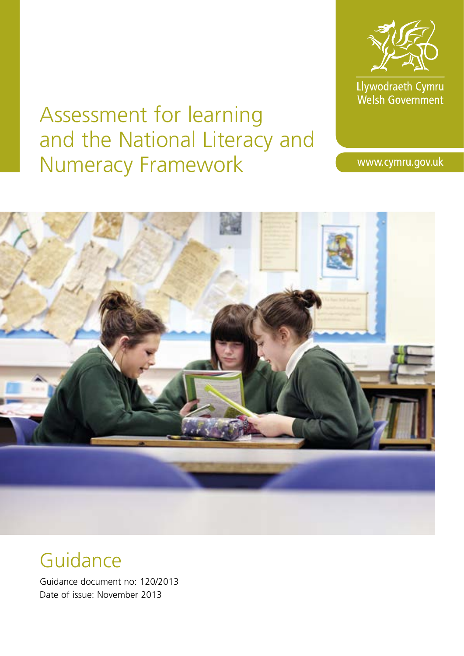

Llywodraeth Cymru<br>Welsh Government

# Assessment for learning and the National Literacy and Numeracy Framework

www.cymru.gov.uk



# Guidance

Guidance document no: 120/2013 Date of issue: November 2013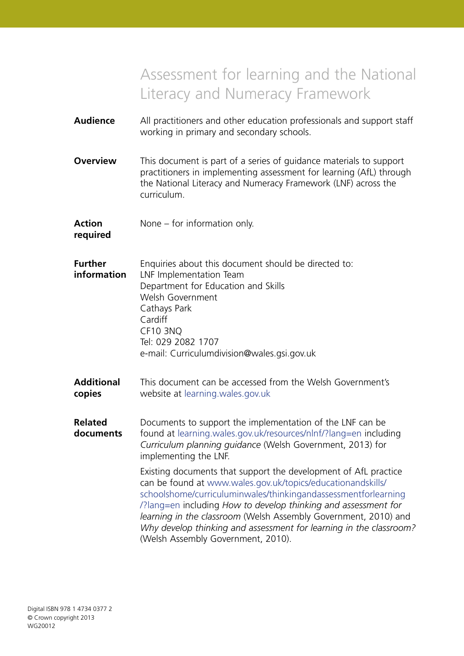# Assessment for learning and the National Literacy and Numeracy Framework

| <b>Audience</b>               | All practitioners and other education professionals and support staff<br>working in primary and secondary schools.                                                                                                                                                                                                                                                                                                                                |  |  |
|-------------------------------|---------------------------------------------------------------------------------------------------------------------------------------------------------------------------------------------------------------------------------------------------------------------------------------------------------------------------------------------------------------------------------------------------------------------------------------------------|--|--|
| <b>Overview</b>               | This document is part of a series of guidance materials to support<br>practitioners in implementing assessment for learning (AfL) through<br>the National Literacy and Numeracy Framework (LNF) across the<br>curriculum.                                                                                                                                                                                                                         |  |  |
| <b>Action</b><br>required     | None $-$ for information only.                                                                                                                                                                                                                                                                                                                                                                                                                    |  |  |
| <b>Further</b><br>information | Enquiries about this document should be directed to:<br>LNF Implementation Team<br>Department for Education and Skills<br>Welsh Government<br>Cathays Park<br>Cardiff<br><b>CF10 3NQ</b><br>Tel: 029 2082 1707<br>e-mail: Curriculumdivision@wales.gsi.gov.uk                                                                                                                                                                                     |  |  |
| <b>Additional</b><br>copies   | This document can be accessed from the Welsh Government's<br>website at learning wales gov.uk                                                                                                                                                                                                                                                                                                                                                     |  |  |
| <b>Related</b><br>documents   | Documents to support the implementation of the LNF can be<br>found at learning.wales.gov.uk/resources/nlnf/?lang=en including<br>Curriculum planning quidance (Welsh Government, 2013) for<br>implementing the LNF.                                                                                                                                                                                                                               |  |  |
|                               | Existing documents that support the development of AfL practice<br>can be found at www.wales.gov.uk/topics/educationandskills/<br>schoolshome/curriculuminwales/thinkingandassessmentforlearning<br>/?lang=en including How to develop thinking and assessment for<br>learning in the classroom (Welsh Assembly Government, 2010) and<br>Why develop thinking and assessment for learning in the classroom?<br>(Welsh Assembly Government, 2010). |  |  |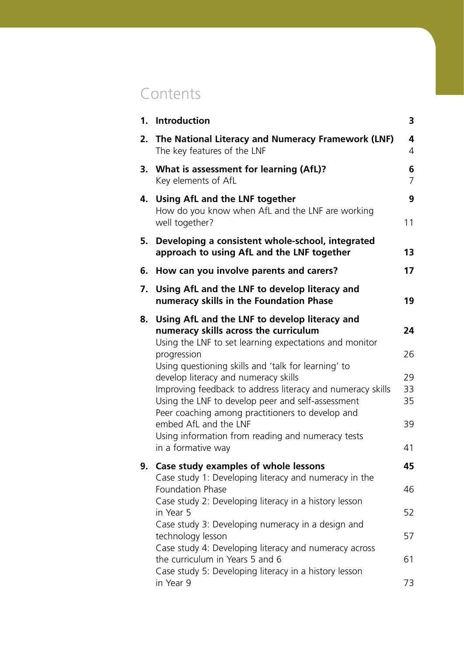# **Contents**

|    | 1. Introduction                                                                                                                                                     | 3                   |  |
|----|---------------------------------------------------------------------------------------------------------------------------------------------------------------------|---------------------|--|
| 2. | The National Literacy and Numeracy Framework (LNF)<br>The key features of the LNF                                                                                   |                     |  |
| 3. | What is assessment for learning (AfL)?<br>Key elements of AfL                                                                                                       | 6<br>$\overline{7}$ |  |
|    | 4. Using AfL and the LNF together<br>How do you know when AfL and the LNF are working<br>well together?                                                             | 9<br>11             |  |
| 5. | Developing a consistent whole-school, integrated<br>approach to using AfL and the LNF together                                                                      | 13                  |  |
| 6. | How can you involve parents and carers?                                                                                                                             | 17                  |  |
| 7. | Using AfL and the LNF to develop literacy and<br>numeracy skills in the Foundation Phase                                                                            | 19                  |  |
|    | 8. Using AfL and the LNF to develop literacy and<br>numeracy skills across the curriculum<br>Using the LNF to set learning expectations and monitor                 | 24                  |  |
|    | progression<br>Using questioning skills and 'talk for learning' to                                                                                                  | 26                  |  |
|    | develop literacy and numeracy skills                                                                                                                                | 29                  |  |
|    | Improving feedback to address literacy and numeracy skills<br>Using the LNF to develop peer and self-assessment<br>Peer coaching among practitioners to develop and | 33<br>35            |  |
|    | embed AfL and the LNF                                                                                                                                               | 39                  |  |
|    | Using information from reading and numeracy tests<br>in a formative way                                                                                             | 41                  |  |
| 9. | Case study examples of whole lessons                                                                                                                                | 45                  |  |
|    | Case study 1: Developing literacy and numeracy in the<br>Foundation Phase                                                                                           | 46                  |  |
|    | Case study 2: Developing literacy in a history lesson<br>in Year 5                                                                                                  | 52                  |  |
|    | Case study 3: Developing numeracy in a design and                                                                                                                   | 57                  |  |
|    | technology lesson<br>Case study 4: Developing literacy and numeracy across                                                                                          |                     |  |
|    | the curriculum in Years 5 and 6<br>Case study 5: Developing literacy in a history lesson                                                                            | 61                  |  |
|    | in Year 9                                                                                                                                                           | 73                  |  |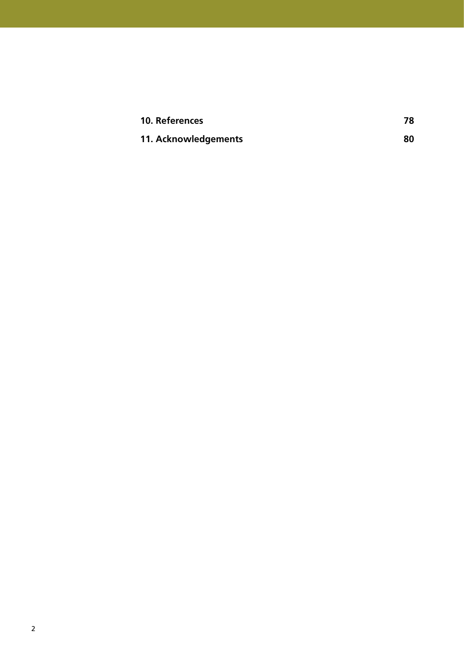| 10. References       | 78 |
|----------------------|----|
| 11. Acknowledgements | 80 |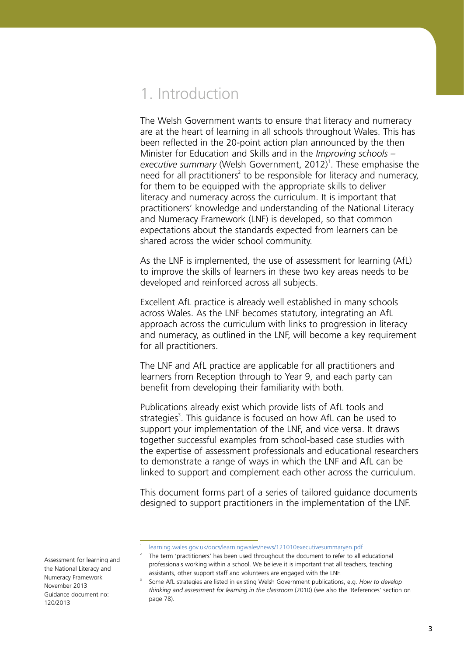### 1. Introduction

The Welsh Government wants to ensure that literacy and numeracy are at the heart of learning in all schools throughout Wales. This has been reflected in the 20-point action plan announced by the then Minister for Education and Skills and in the *Improving schools –*  executive summary (Welsh Government, 2012)<sup>1</sup>. These emphasise the need for all practitioners<sup>2</sup> to be responsible for literacy and numeracy, for them to be equipped with the appropriate skills to deliver literacy and numeracy across the curriculum. It is important that practitioners' knowledge and understanding of the National Literacy and Numeracy Framework (LNF) is developed, so that common expectations about the standards expected from learners can be shared across the wider school community.

As the LNF is implemented, the use of assessment for learning (AfL) to improve the skills of learners in these two key areas needs to be developed and reinforced across all subjects.

Excellent AfL practice is already well established in many schools across Wales. As the LNF becomes statutory, integrating an AfL approach across the curriculum with links to progression in literacy and numeracy, as outlined in the LNF, will become a key requirement for all practitioners.

The LNF and AfL practice are applicable for all practitioners and learners from Reception through to Year 9, and each party can benefit from developing their familiarity with both.

Publications already exist which provide lists of AfL tools and strategies<sup>3</sup>. This guidance is focused on how AfL can be used to support your implementation of the LNF, and vice versa. It draws together successful examples from school-based case studies with the expertise of assessment professionals and educational researchers to demonstrate a range of ways in which the LNF and AfL can be linked to support and complement each other across the curriculum.

This document forms part of a series of tailored guidance documents designed to support practitioners in the implementation of the LNF.

2 The term 'practitioners' has been used throughout the document to refer to all educational professionals working within a school. We believe it is important that all teachers, teaching assistants, other support staff and volunteers are engaged with the LNF.

Assessment for learning and the National Literacy and Numeracy Framework November 2013 Guidance document no: 120/2013

1

3

[learning.wales.gov.uk/docs/learningwales/news/121010executivesummaryen.pdf](http://learning.wales.gov.uk/docs/learningwales/news/121010executivesummaryen.pdf)

Some AfL strategies are listed in existing Welsh Government publications, e.g. *How to develop thinking and assessment for learning in the classroom* (2010) (see also the 'References' section on page 78).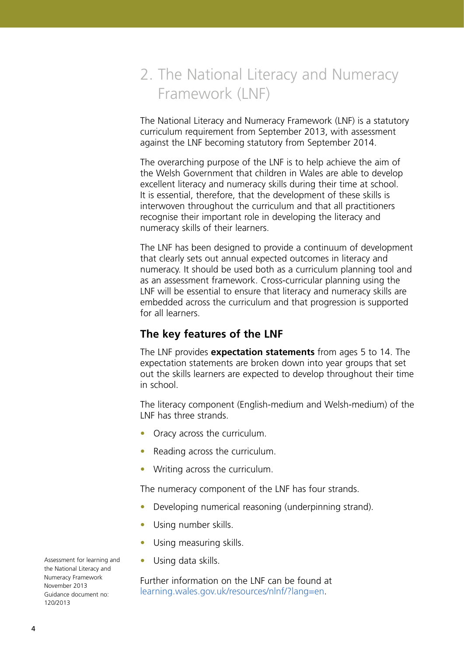# 2. The National Literacy and Numeracy Framework (LNF)

The National Literacy and Numeracy Framework (LNF) is a statutory curriculum requirement from September 2013, with assessment against the LNF becoming statutory from September 2014.

The overarching purpose of the LNF is to help achieve the aim of the Welsh Government that children in Wales are able to develop excellent literacy and numeracy skills during their time at school. It is essential, therefore, that the development of these skills is interwoven throughout the curriculum and that all practitioners recognise their important role in developing the literacy and numeracy skills of their learners.

The LNF has been designed to provide a continuum of development that clearly sets out annual expected outcomes in literacy and numeracy. It should be used both as a curriculum planning tool and as an assessment framework. Cross-curricular planning using the LNF will be essential to ensure that literacy and numeracy skills are embedded across the curriculum and that progression is supported for all learners.

### **The key features of the LNF**

The LNF provides **expectation statements** from ages 5 to 14. The expectation statements are broken down into year groups that set out the skills learners are expected to develop throughout their time in school.

The literacy component (English-medium and Welsh-medium) of the LNF has three strands.

- Oracy across the curriculum.
- Reading across the curriculum.
- Writing across the curriculum.

The numeracy component of the LNF has four strands.

- **•**  Developing numerical reasoning (underpinning strand).
- **•**  Using number skills.
- **•**  Using measuring skills.
- **•**  Using data skills.

Further information on the LNF can be found at [learning.wales.gov.uk/resources/nlnf/?lang=en](http://learning.wales.gov.uk/resources/nlnf/?lang=en).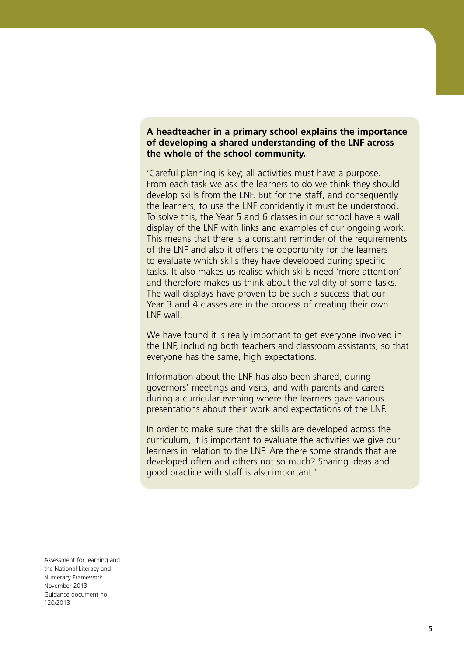#### **A headteacher in a primary school explains the importance of developing a shared understanding of the LNF across the whole of the school community.**

'Careful planning is key; all activities must have a purpose. From each task we ask the learners to do we think they should develop skills from the LNF. But for the staff, and consequently the learners, to use the LNF confidently it must be understood. To solve this, the Year 5 and 6 classes in our school have a wall display of the LNF with links and examples of our ongoing work. This means that there is a constant reminder of the requirements of the LNF and also it offers the opportunity for the learners to evaluate which skills they have developed during specific tasks. It also makes us realise which skills need 'more attention' and therefore makes us think about the validity of some tasks. The wall displays have proven to be such a success that our Year 3 and 4 classes are in the process of creating their own LNF wall.

We have found it is really important to get everyone involved in the LNF, including both teachers and classroom assistants, so that everyone has the same, high expectations.

Information about the LNF has also been shared, during governors' meetings and visits, and with parents and carers during a curricular evening where the learners gave various presentations about their work and expectations of the LNF.

In order to make sure that the skills are developed across the curriculum, it is important to evaluate the activities we give our learners in relation to the LNF. Are there some strands that are developed often and others not so much? Sharing ideas and good practice with staff is also important.'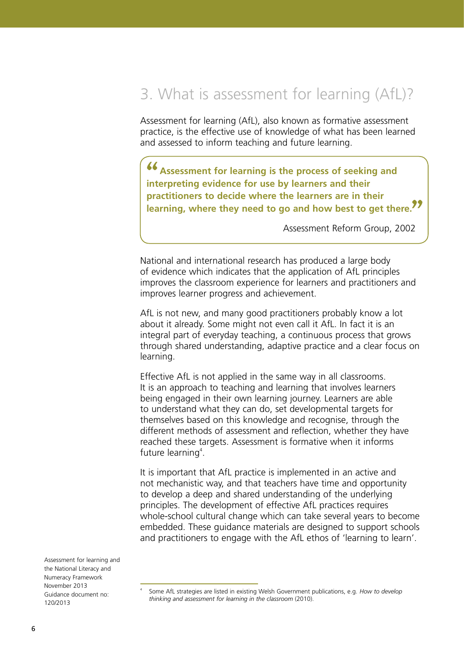## 3. What is assessment for learning (AfL)?

Assessment for learning (AfL), also known as formative assessment practice, is the effective use of knowledge of what has been learned and assessed to inform teaching and future learning.

**Assessment for learning is the process of seeking and interpreting evidence for use by learners and their practitioners to decide where the learners are in their learning, where they need to go and how best to get there. ""**

Assessment Reform Group, 2002

National and international research has produced a large body of evidence which indicates that the application of AfL principles improves the classroom experience for learners and practitioners and improves learner progress and achievement.

AfL is not new, and many good practitioners probably know a lot about it already. Some might not even call it AfL. In fact it is an integral part of everyday teaching, a continuous process that grows through shared understanding, adaptive practice and a clear focus on learning.

Effective AfL is not applied in the same way in all classrooms. It is an approach to teaching and learning that involves learners being engaged in their own learning journey. Learners are able to understand what they can do, set developmental targets for themselves based on this knowledge and recognise, through the different methods of assessment and reflection, whether they have reached these targets. Assessment is formative when it informs future learning<sup>4</sup>.

It is important that AfL practice is implemented in an active and not mechanistic way, and that teachers have time and opportunity to develop a deep and shared understanding of the underlying principles. The development of effective AfL practices requires whole-school cultural change which can take several years to become embedded. These guidance materials are designed to support schools and practitioners to engage with the AfL ethos of 'learning to learn'.

<sup>4</sup> Some AfL strategies are listed in existing Welsh Government publications, e.g. *How to develop thinking and assessment for learning in the classroom* (2010).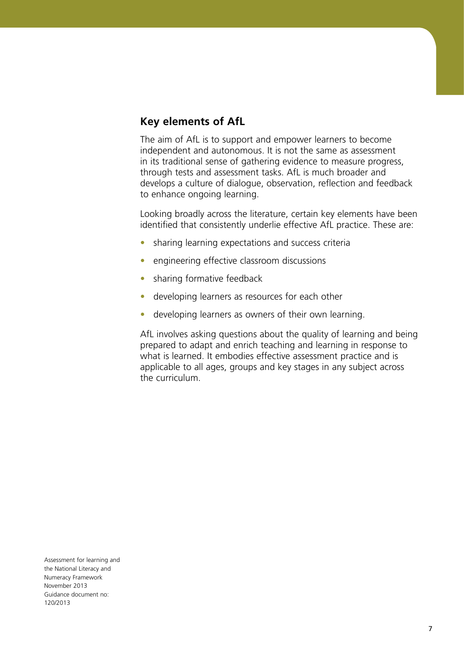### **Key elements of AfL**

The aim of AfL is to support and empower learners to become independent and autonomous. It is not the same as assessment in its traditional sense of gathering evidence to measure progress, through tests and assessment tasks. AfL is much broader and develops a culture of dialogue, observation, reflection and feedback to enhance ongoing learning.

Looking broadly across the literature, certain key elements have been identified that consistently underlie effective AfL practice. These are:

- sharing learning expectations and success criteria
- engineering effective classroom discussions
- **•**  sharing formative feedback
- **•**  developing learners as resources for each other
- developing learners as owners of their own learning.

AfL involves asking questions about the quality of learning and being prepared to adapt and enrich teaching and learning in response to what is learned. It embodies effective assessment practice and is applicable to all ages, groups and key stages in any subject across the curriculum.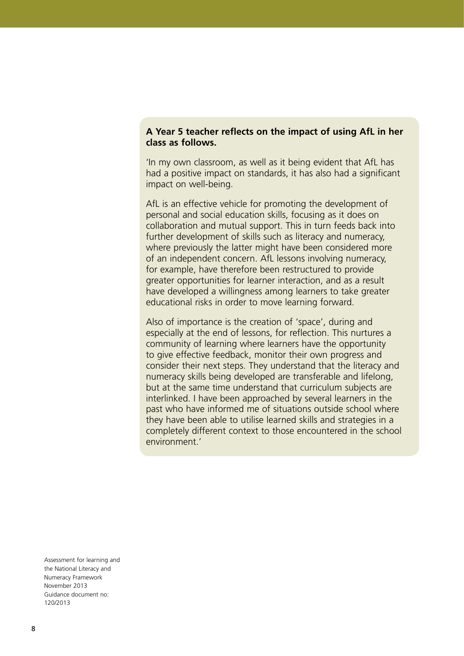#### **A Year 5 teacher reflects on the impact of using AfL in her class as follows.**

'In my own classroom, as well as it being evident that AfL has had a positive impact on standards, it has also had a significant impact on well-being.

AfL is an effective vehicle for promoting the development of personal and social education skills, focusing as it does on collaboration and mutual support. This in turn feeds back into further development of skills such as literacy and numeracy, where previously the latter might have been considered more of an independent concern. AfL lessons involving numeracy, for example, have therefore been restructured to provide greater opportunities for learner interaction, and as a result have developed a willingness among learners to take greater educational risks in order to move learning forward.

Also of importance is the creation of 'space', during and especially at the end of lessons, for reflection. This nurtures a community of learning where learners have the opportunity to give effective feedback, monitor their own progress and consider their next steps. They understand that the literacy and numeracy skills being developed are transferable and lifelong, but at the same time understand that curriculum subjects are interlinked. I have been approached by several learners in the past who have informed me of situations outside school where they have been able to utilise learned skills and strategies in a completely different context to those encountered in the school environment.'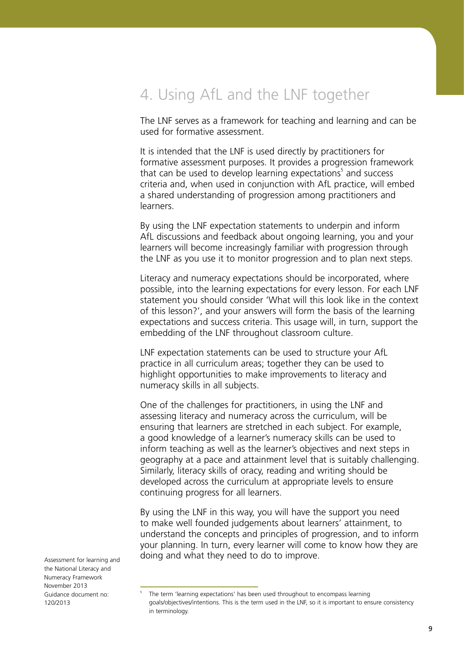## 4. Using AfL and the LNF together

The LNF serves as a framework for teaching and learning and can be used for formative assessment.

It is intended that the LNF is used directly by practitioners for formative assessment purposes. It provides a progression framework that can be used to develop learning expectations<sup>5</sup> and success criteria and, when used in conjunction with AfL practice, will embed a shared understanding of progression among practitioners and learners.

By using the LNF expectation statements to underpin and inform AfL discussions and feedback about ongoing learning, you and your learners will become increasingly familiar with progression through the LNF as you use it to monitor progression and to plan next steps.

Literacy and numeracy expectations should be incorporated, where possible, into the learning expectations for every lesson. For each LNF statement you should consider 'What will this look like in the context of this lesson?', and your answers will form the basis of the learning expectations and success criteria. This usage will, in turn, support the embedding of the LNF throughout classroom culture.

LNF expectation statements can be used to structure your AfL practice in all curriculum areas; together they can be used to highlight opportunities to make improvements to literacy and numeracy skills in all subjects.

One of the challenges for practitioners, in using the LNF and assessing literacy and numeracy across the curriculum, will be ensuring that learners are stretched in each subject. For example, a good knowledge of a learner's numeracy skills can be used to inform teaching as well as the learner's objectives and next steps in geography at a pace and attainment level that is suitably challenging. Similarly, literacy skills of oracy, reading and writing should be developed across the curriculum at appropriate levels to ensure continuing progress for all learners.

By using the LNF in this way, you will have the support you need to make well founded judgements about learners' attainment, to understand the concepts and principles of progression, and to inform your planning. In turn, every learner will come to know how they are doing and what they need to do to improve.

Assessment for learning and the National Literacy and Numeracy Framework November 2013 Guidance document no: 120/2013

5

The term 'learning expectations' has been used throughout to encompass learning goals/objectives/intentions. This is the term used in the LNF, so it is important to ensure consistency in terminology.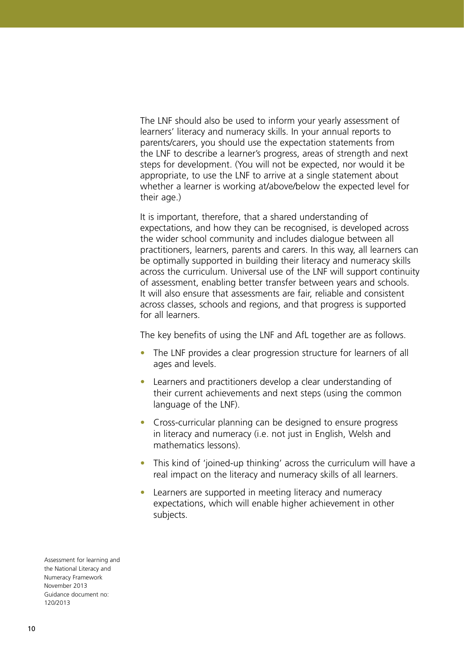The LNF should also be used to inform your yearly assessment of learners' literacy and numeracy skills. In your annual reports to parents/carers, you should use the expectation statements from the LNF to describe a learner's progress, areas of strength and next steps for development. (You will not be expected, nor would it be appropriate, to use the LNF to arrive at a single statement about whether a learner is working at/above/below the expected level for their age.)

It is important, therefore, that a shared understanding of expectations, and how they can be recognised, is developed across the wider school community and includes dialogue between all practitioners, learners, parents and carers. In this way, all learners can be optimally supported in building their literacy and numeracy skills across the curriculum. Universal use of the LNF will support continuity of assessment, enabling better transfer between years and schools. It will also ensure that assessments are fair, reliable and consistent across classes, schools and regions, and that progress is supported for all learners.

The key benefits of using the LNF and AfL together are as follows.

- The LNF provides a clear progression structure for learners of all ages and levels.
- **•**  Learners and practitioners develop a clear understanding of their current achievements and next steps (using the common language of the LNF).
- **•**  Cross-curricular planning can be designed to ensure progress in literacy and numeracy (i.e. not just in English, Welsh and mathematics lessons).
- This kind of 'joined-up thinking' across the curriculum will have a real impact on the literacy and numeracy skills of all learners.
- Learners are supported in meeting literacy and numeracy expectations, which will enable higher achievement in other subjects.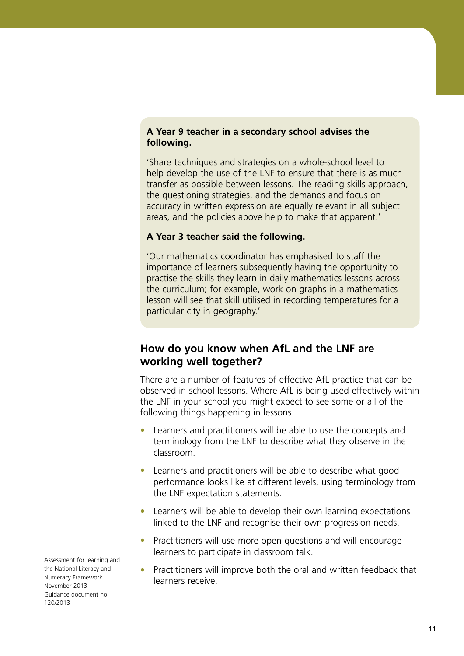#### **A Year 9 teacher in a secondary school advises the following.**

'Share techniques and strategies on a whole-school level to help develop the use of the LNF to ensure that there is as much transfer as possible between lessons. The reading skills approach, the questioning strategies, and the demands and focus on accuracy in written expression are equally relevant in all subject areas, and the policies above help to make that apparent.'

#### **A Year 3 teacher said the following.**

'Our mathematics coordinator has emphasised to staff the importance of learners subsequently having the opportunity to practise the skills they learn in daily mathematics lessons across the curriculum; for example, work on graphs in a mathematics lesson will see that skill utilised in recording temperatures for a particular city in geography.'

### **How do you know when AfL and the LNF are working well together?**

There are a number of features of effective AfL practice that can be observed in school lessons. Where AfL is being used effectively within the LNF in your school you might expect to see some or all of the following things happening in lessons.

- **•**  Learners and practitioners will be able to use the concepts and terminology from the LNF to describe what they observe in the classroom.
- **•**  Learners and practitioners will be able to describe what good performance looks like at different levels, using terminology from the LNF expectation statements.
- Learners will be able to develop their own learning expectations linked to the LNF and recognise their own progression needs.
- Practitioners will use more open questions and will encourage learners to participate in classroom talk.
- Practitioners will improve both the oral and written feedback that learners receive.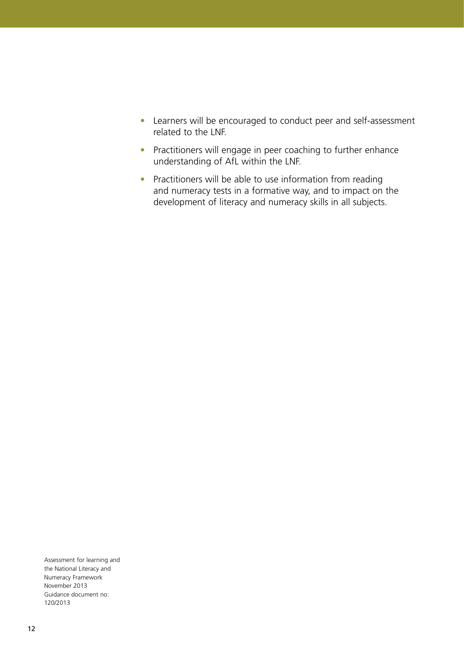- **•**  Learners will be encouraged to conduct peer and self-assessment related to the LNF.
- **•** Practitioners will engage in peer coaching to further enhance understanding of AfL within the LNF.
- **•**  Practitioners will be able to use information from reading and numeracy tests in a formative way, and to impact on the development of literacy and numeracy skills in all subjects.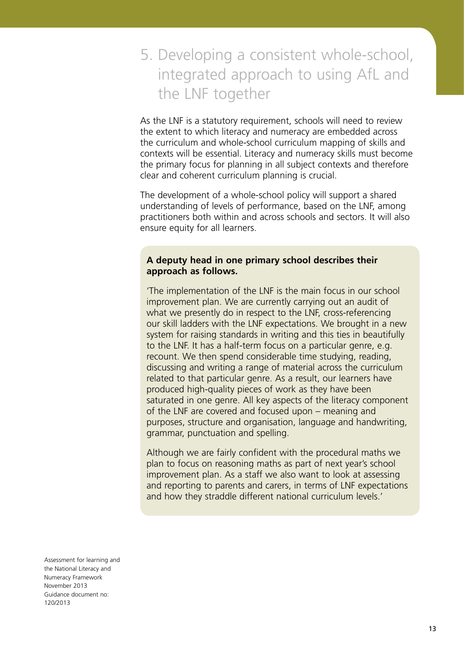# 5. Developing a consistent whole-school, integrated approach to using AfL and the LNF together

As the LNF is a statutory requirement, schools will need to review the extent to which literacy and numeracy are embedded across the curriculum and whole-school curriculum mapping of skills and contexts will be essential. Literacy and numeracy skills must become the primary focus for planning in all subject contexts and therefore clear and coherent curriculum planning is crucial.

The development of a whole-school policy will support a shared understanding of levels of performance, based on the LNF, among practitioners both within and across schools and sectors. It will also ensure equity for all learners.

#### **A deputy head in one primary school describes their approach as follows.**

'The implementation of the LNF is the main focus in our school improvement plan. We are currently carrying out an audit of what we presently do in respect to the LNF, cross-referencing our skill ladders with the LNF expectations. We brought in a new system for raising standards in writing and this ties in beautifully to the LNF. It has a half-term focus on a particular genre, e.g. recount. We then spend considerable time studying, reading, discussing and writing a range of material across the curriculum related to that particular genre. As a result, our learners have produced high-quality pieces of work as they have been saturated in one genre. All key aspects of the literacy component of the LNF are covered and focused upon – meaning and purposes, structure and organisation, language and handwriting, grammar, punctuation and spelling.

Although we are fairly confident with the procedural maths we plan to focus on reasoning maths as part of next year's school improvement plan. As a staff we also want to look at assessing and reporting to parents and carers, in terms of LNF expectations and how they straddle different national curriculum levels.'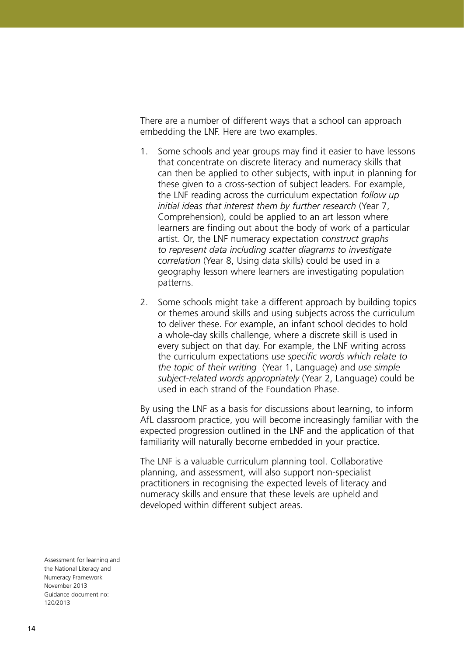There are a number of different ways that a school can approach embedding the LNF. Here are two examples.

- 1. Some schools and year groups may find it easier to have lessons that concentrate on discrete literacy and numeracy skills that can then be applied to other subjects, with input in planning for these given to a cross-section of subject leaders. For example, the LNF reading across the curriculum expectation *follow up initial ideas that interest them by further research* (Year 7, Comprehension), could be applied to an art lesson where learners are finding out about the body of work of a particular artist. Or, the LNF numeracy expectation *construct graphs to represent data including scatter diagrams to investigate correlation* (Year 8, Using data skills) could be used in a geography lesson where learners are investigating population patterns.
- 2. Some schools might take a different approach by building topics or themes around skills and using subjects across the curriculum to deliver these. For example, an infant school decides to hold a whole-day skills challenge, where a discrete skill is used in every subject on that day. For example, the LNF writing across the curriculum expectations *use specific words which relate to the topic of their writing* (Year 1, Language) and *use simple subject‑related words appropriately* (Year 2, Language) could be used in each strand of the Foundation Phase.

By using the LNF as a basis for discussions about learning, to inform AfL classroom practice, you will become increasingly familiar with the expected progression outlined in the LNF and the application of that familiarity will naturally become embedded in your practice.

The LNF is a valuable curriculum planning tool. Collaborative planning, and assessment, will also support non-specialist practitioners in recognising the expected levels of literacy and numeracy skills and ensure that these levels are upheld and developed within different subject areas.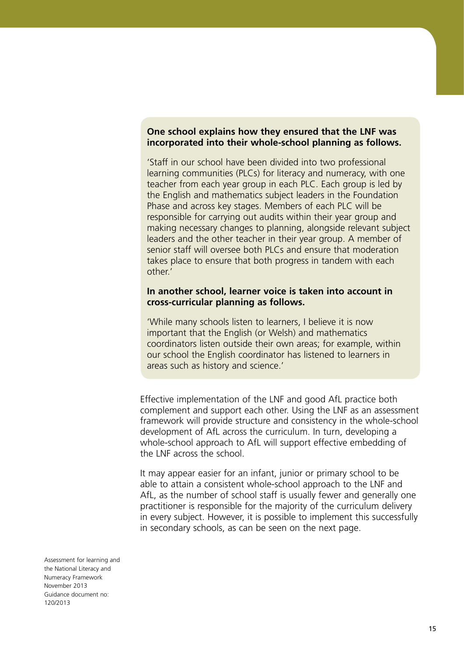#### **One school explains how they ensured that the LNF was incorporated into their whole-school planning as follows.**

'Staff in our school have been divided into two professional learning communities (PLCs) for literacy and numeracy, with one teacher from each year group in each PLC. Each group is led by the English and mathematics subject leaders in the Foundation Phase and across key stages. Members of each PLC will be responsible for carrying out audits within their year group and making necessary changes to planning, alongside relevant subject leaders and the other teacher in their year group. A member of senior staff will oversee both PLCs and ensure that moderation takes place to ensure that both progress in tandem with each other.'

#### **In another school, learner voice is taken into account in cross-curricular planning as follows.**

'While many schools listen to learners, I believe it is now important that the English (or Welsh) and mathematics coordinators listen outside their own areas; for example, within our school the English coordinator has listened to learners in areas such as history and science.'

Effective implementation of the LNF and good AfL practice both complement and support each other. Using the LNF as an assessment framework will provide structure and consistency in the whole-school development of AfL across the curriculum. In turn, developing a whole-school approach to AfL will support effective embedding of the LNF across the school.

It may appear easier for an infant, junior or primary school to be able to attain a consistent whole-school approach to the LNF and AfL, as the number of school staff is usually fewer and generally one practitioner is responsible for the majority of the curriculum delivery in every subject. However, it is possible to implement this successfully in secondary schools, as can be seen on the next page.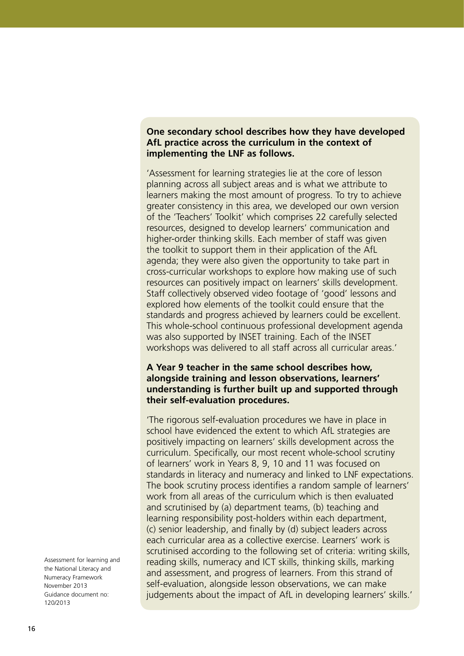#### **One secondary school describes how they have developed AfL practice across the curriculum in the context of implementing the LNF as follows.**

'Assessment for learning strategies lie at the core of lesson planning across all subject areas and is what we attribute to learners making the most amount of progress. To try to achieve greater consistency in this area, we developed our own version of the 'Teachers' Toolkit' which comprises 22 carefully selected resources, designed to develop learners' communication and higher-order thinking skills. Each member of staff was given the toolkit to support them in their application of the AfL agenda; they were also given the opportunity to take part in cross-curricular workshops to explore how making use of such resources can positively impact on learners' skills development. Staff collectively observed video footage of 'good' lessons and explored how elements of the toolkit could ensure that the standards and progress achieved by learners could be excellent. This whole-school continuous professional development agenda was also supported by INSET training. Each of the INSET workshops was delivered to all staff across all curricular areas.'

#### **A Year 9 teacher in the same school describes how, alongside training and lesson observations, learners' understanding is further built up and supported through their self-evaluation procedures.**

'The rigorous self-evaluation procedures we have in place in school have evidenced the extent to which AfL strategies are positively impacting on learners' skills development across the curriculum. Specifically, our most recent whole-school scrutiny of learners' work in Years 8, 9, 10 and 11 was focused on standards in literacy and numeracy and linked to LNF expectations. The book scrutiny process identifies a random sample of learners' work from all areas of the curriculum which is then evaluated and scrutinised by (a) department teams, (b) teaching and learning responsibility post-holders within each department, (c) senior leadership, and finally by (d) subject leaders across each curricular area as a collective exercise. Learners' work is scrutinised according to the following set of criteria: writing skills, reading skills, numeracy and ICT skills, thinking skills, marking and assessment, and progress of learners. From this strand of self-evaluation, alongside lesson observations, we can make judgements about the impact of AfL in developing learners' skills.'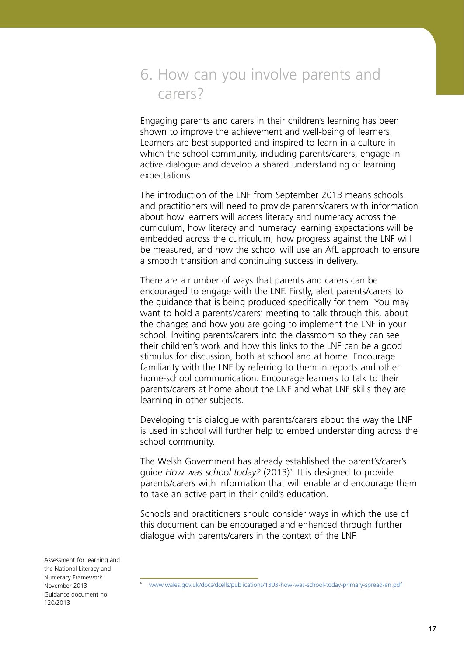### 6. How can you involve parents and carers?

Engaging parents and carers in their children's learning has been shown to improve the achievement and well-being of learners. Learners are best supported and inspired to learn in a culture in which the school community, including parents/carers, engage in active dialogue and develop a shared understanding of learning expectations.

The introduction of the LNF from September 2013 means schools and practitioners will need to provide parents/carers with information about how learners will access literacy and numeracy across the curriculum, how literacy and numeracy learning expectations will be embedded across the curriculum, how progress against the LNF will be measured, and how the school will use an AfL approach to ensure a smooth transition and continuing success in delivery.

There are a number of ways that parents and carers can be encouraged to engage with the LNF. Firstly, alert parents/carers to the guidance that is being produced specifically for them. You may want to hold a parents'/carers' meeting to talk through this, about the changes and how you are going to implement the LNF in your school. Inviting parents/carers into the classroom so they can see their children's work and how this links to the LNF can be a good stimulus for discussion, both at school and at home. Encourage familiarity with the LNF by referring to them in reports and other home-school communication. Encourage learners to talk to their parents/carers at home about the LNF and what LNF skills they are learning in other subjects.

Developing this dialogue with parents/carers about the way the LNF is used in school will further help to embed understanding across the school community.

The Welsh Government has already established the parent's/carer's guide How was school today? (2013)<sup>6</sup>. It is designed to provide parents/carers with information that will enable and encourage them to take an active part in their child's education.

Schools and practitioners should consider ways in which the use of this document can be encouraged and enhanced through further dialogue with parents/carers in the context of the LNF.

<sup>6</sup> [www.wales.gov.uk/docs/dcells/publications/1303-how-was-school-today-primary-spread-en.pdf](http://www.wales.gov.uk/docs/dcells/publications/1303-how-was-school-today-primary-spread-en.pdf)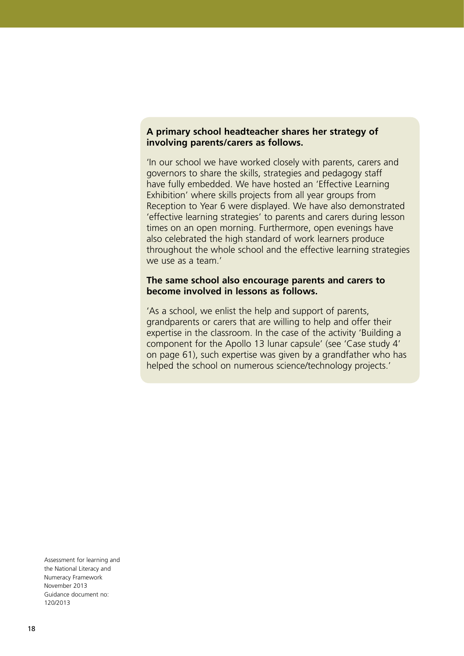#### **A primary school headteacher shares her strategy of involving parents/carers as follows.**

'In our school we have worked closely with parents, carers and governors to share the skills, strategies and pedagogy staff have fully embedded. We have hosted an 'Effective Learning Exhibition' where skills projects from all year groups from Reception to Year 6 were displayed. We have also demonstrated 'effective learning strategies' to parents and carers during lesson times on an open morning. Furthermore, open evenings have also celebrated the high standard of work learners produce throughout the whole school and the effective learning strategies we use as a team.'

#### **The same school also encourage parents and carers to become involved in lessons as follows.**

'As a school, we enlist the help and support of parents, grandparents or carers that are willing to help and offer their expertise in the classroom. In the case of the activity 'Building a component for the Apollo 13 lunar capsule' (see 'Case study 4' on page 61), such expertise was given by a grandfather who has helped the school on numerous science/technology projects.'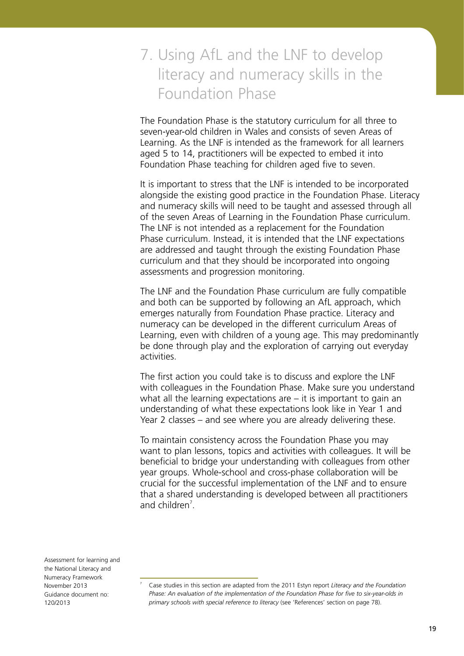# 7. Using AfL and the LNF to develop literacy and numeracy skills in the Foundation Phase

The Foundation Phase is the statutory curriculum for all three to seven-year-old children in Wales and consists of seven Areas of Learning. As the LNF is intended as the framework for all learners aged 5 to 14, practitioners will be expected to embed it into Foundation Phase teaching for children aged five to seven.

It is important to stress that the LNF is intended to be incorporated alongside the existing good practice in the Foundation Phase. Literacy and numeracy skills will need to be taught and assessed through all of the seven Areas of Learning in the Foundation Phase curriculum. The LNF is not intended as a replacement for the Foundation Phase curriculum. Instead, it is intended that the LNF expectations are addressed and taught through the existing Foundation Phase curriculum and that they should be incorporated into ongoing assessments and progression monitoring.

The LNF and the Foundation Phase curriculum are fully compatible and both can be supported by following an AfL approach, which emerges naturally from Foundation Phase practice. Literacy and numeracy can be developed in the different curriculum Areas of Learning, even with children of a young age. This may predominantly be done through play and the exploration of carrying out everyday activities.

The first action you could take is to discuss and explore the LNF with colleagues in the Foundation Phase. Make sure you understand what all the learning expectations are  $-$  it is important to gain an understanding of what these expectations look like in Year 1 and Year 2 classes – and see where you are already delivering these.

To maintain consistency across the Foundation Phase you may want to plan lessons, topics and activities with colleagues. It will be beneficial to bridge your understanding with colleagues from other year groups. Whole-school and cross-phase collaboration will be crucial for the successful implementation of the LNF and to ensure that a shared understanding is developed between all practitioners and children $<sup>7</sup>$ .</sup>

Assessment for learning and the National Literacy and Numeracy Framework November 2013 Guidance document no: 120/2013

7

Case studies in this section are adapted from the 2011 Estyn report *Literacy and the Foundation Phase: An evaluation of the implementation of the Foundation Phase for five to six-year-olds in primary schools with special reference to literacy* (see 'References' section on page 78).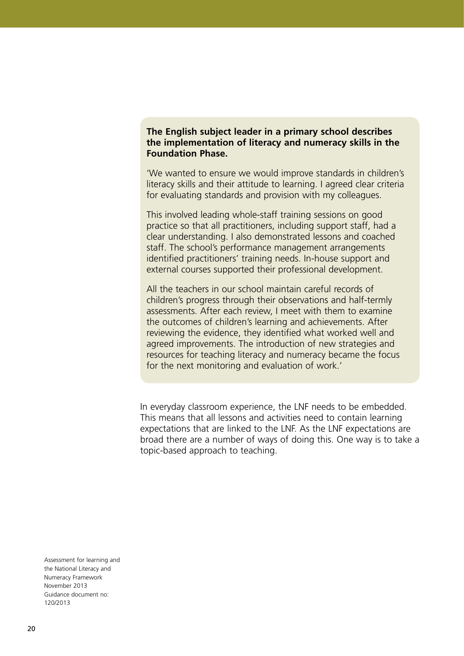#### **The English subject leader in a primary school describes the implementation of literacy and numeracy skills in the Foundation Phase.**

'We wanted to ensure we would improve standards in children's literacy skills and their attitude to learning. I agreed clear criteria for evaluating standards and provision with my colleagues.

This involved leading whole-staff training sessions on good practice so that all practitioners, including support staff, had a clear understanding. I also demonstrated lessons and coached staff. The school's performance management arrangements identified practitioners' training needs. In-house support and external courses supported their professional development.

All the teachers in our school maintain careful records of children's progress through their observations and half-termly assessments. After each review, I meet with them to examine the outcomes of children's learning and achievements. After reviewing the evidence, they identified what worked well and agreed improvements. The introduction of new strategies and resources for teaching literacy and numeracy became the focus for the next monitoring and evaluation of work.'

In everyday classroom experience, the LNF needs to be embedded. This means that all lessons and activities need to contain learning expectations that are linked to the LNF. As the LNF expectations are broad there are a number of ways of doing this. One way is to take a topic-based approach to teaching.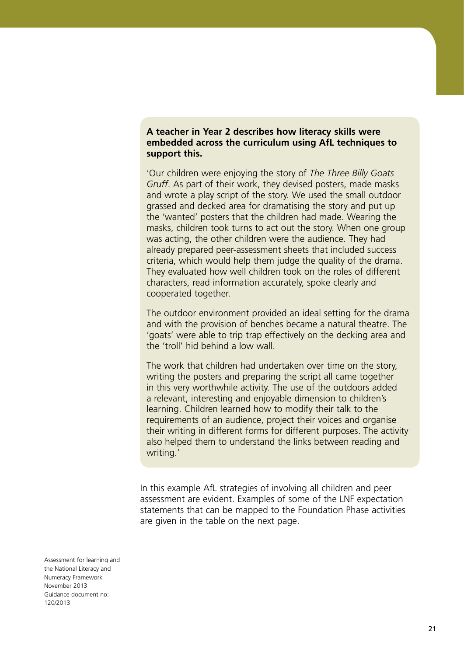#### **A teacher in Year 2 describes how literacy skills were embedded across the curriculum using AfL techniques to support this.**

'Our children were enjoying the story of *The Three Billy Goats Gruff*. As part of their work, they devised posters, made masks and wrote a play script of the story. We used the small outdoor grassed and decked area for dramatising the story and put up the 'wanted' posters that the children had made. Wearing the masks, children took turns to act out the story. When one group was acting, the other children were the audience. They had already prepared peer-assessment sheets that included success criteria, which would help them judge the quality of the drama. They evaluated how well children took on the roles of different characters, read information accurately, spoke clearly and cooperated together.

The outdoor environment provided an ideal setting for the drama and with the provision of benches became a natural theatre. The 'goats' were able to trip trap effectively on the decking area and the 'troll' hid behind a low wall.

The work that children had undertaken over time on the story, writing the posters and preparing the script all came together in this very worthwhile activity. The use of the outdoors added a relevant, interesting and enjoyable dimension to children's learning. Children learned how to modify their talk to the requirements of an audience, project their voices and organise their writing in different forms for different purposes. The activity also helped them to understand the links between reading and writing.'

In this example AfL strategies of involving all children and peer assessment are evident. Examples of some of the LNF expectation statements that can be mapped to the Foundation Phase activities are given in the table on the next page.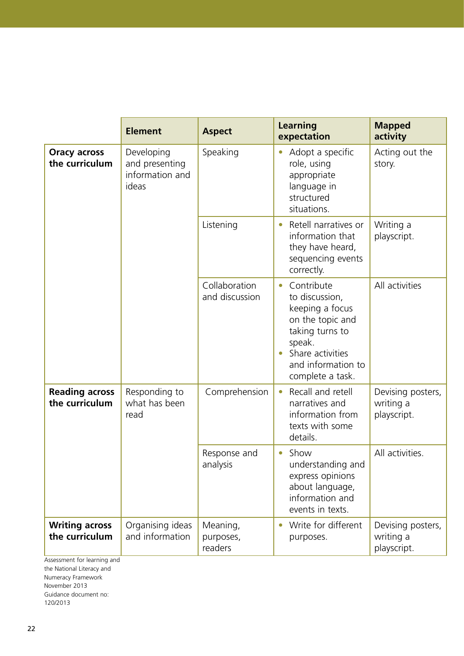|                                         | <b>Element</b>                                           | <b>Aspect</b>                    | <b>Learning</b><br>expectation                                                                                                                                              | <b>Mapped</b><br>activity                     |
|-----------------------------------------|----------------------------------------------------------|----------------------------------|-----------------------------------------------------------------------------------------------------------------------------------------------------------------------------|-----------------------------------------------|
| <b>Oracy across</b><br>the curriculum   | Developing<br>and presenting<br>information and<br>ideas | Speaking                         | Adopt a specific<br>role, using<br>appropriate<br>language in<br>structured<br>situations.                                                                                  | Acting out the<br>story.                      |
|                                         |                                                          | Listening                        | Retell narratives or<br>information that<br>they have heard,<br>sequencing events<br>correctly.                                                                             | Writing a<br>playscript.                      |
|                                         |                                                          | Collaboration<br>and discussion  | Contribute<br>$\bullet$<br>to discussion,<br>keeping a focus<br>on the topic and<br>taking turns to<br>speak.<br>Share activities<br>and information to<br>complete a task. | All activities                                |
| <b>Reading across</b><br>the curriculum | Responding to<br>what has been<br>read                   | Comprehension                    | Recall and retell<br>narratives and<br>information from<br>texts with some<br>details.                                                                                      | Devising posters,<br>writing a<br>playscript. |
|                                         |                                                          | Response and<br>analysis         | Show<br>$\bullet$<br>understanding and<br>express opinions<br>about language,<br>information and<br>events in texts.                                                        | All activities.                               |
| <b>Writing across</b><br>the curriculum | Organising ideas<br>and information                      | Meaning,<br>purposes,<br>readers | Write for different<br>purposes.                                                                                                                                            | Devising posters,<br>writing a<br>playscript. |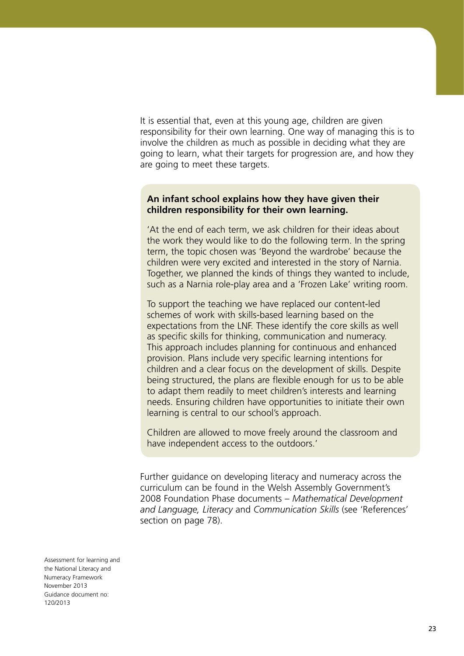It is essential that, even at this young age, children are given responsibility for their own learning. One way of managing this is to involve the children as much as possible in deciding what they are going to learn, what their targets for progression are, and how they are going to meet these targets.

#### **An infant school explains how they have given their children responsibility for their own learning.**

'At the end of each term, we ask children for their ideas about the work they would like to do the following term. In the spring term, the topic chosen was 'Beyond the wardrobe' because the children were very excited and interested in the story of Narnia. Together, we planned the kinds of things they wanted to include, such as a Narnia role-play area and a 'Frozen Lake' writing room.

To support the teaching we have replaced our content-led schemes of work with skills-based learning based on the expectations from the LNF. These identify the core skills as well as specific skills for thinking, communication and numeracy. This approach includes planning for continuous and enhanced provision. Plans include very specific learning intentions for children and a clear focus on the development of skills. Despite being structured, the plans are flexible enough for us to be able to adapt them readily to meet children's interests and learning needs. Ensuring children have opportunities to initiate their own learning is central to our school's approach.

Children are allowed to move freely around the classroom and have independent access to the outdoors.'

Further guidance on developing literacy and numeracy across the curriculum can be found in the Welsh Assembly Government's 2008 Foundation Phase documents – *Mathematical Development and Language, Literacy* and *Communication Skills* (see 'References' section on page 78).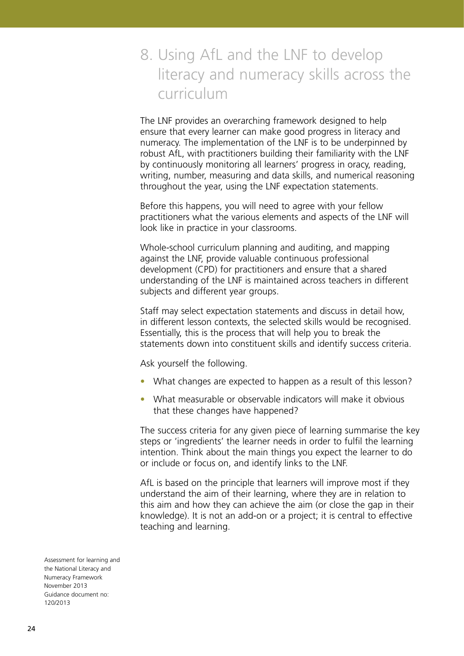## 8. Using AfL and the LNF to develop literacy and numeracy skills across the curriculum

The LNF provides an overarching framework designed to help ensure that every learner can make good progress in literacy and numeracy. The implementation of the LNF is to be underpinned by robust AfL, with practitioners building their familiarity with the LNF by continuously monitoring all learners' progress in oracy, reading, writing, number, measuring and data skills, and numerical reasoning throughout the year, using the LNF expectation statements.

Before this happens, you will need to agree with your fellow practitioners what the various elements and aspects of the LNF will look like in practice in your classrooms.

Whole-school curriculum planning and auditing, and mapping against the LNF, provide valuable continuous professional development (CPD) for practitioners and ensure that a shared understanding of the LNF is maintained across teachers in different subjects and different year groups.

Staff may select expectation statements and discuss in detail how, in different lesson contexts, the selected skills would be recognised. Essentially, this is the process that will help you to break the statements down into constituent skills and identify success criteria.

Ask yourself the following.

- What changes are expected to happen as a result of this lesson?
- What measurable or observable indicators will make it obvious that these changes have happened?

The success criteria for any given piece of learning summarise the key steps or 'ingredients' the learner needs in order to fulfil the learning intention. Think about the main things you expect the learner to do or include or focus on, and identify links to the LNF.

AfL is based on the principle that learners will improve most if they understand the aim of their learning, where they are in relation to this aim and how they can achieve the aim (or close the gap in their knowledge). It is not an add-on or a project; it is central to effective teaching and learning.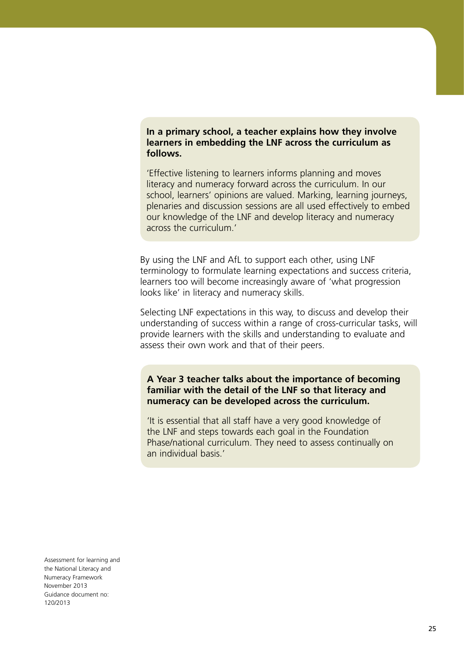**In a primary school, a teacher explains how they involve learners in embedding the LNF across the curriculum as follows.** 

'Effective listening to learners informs planning and moves literacy and numeracy forward across the curriculum. In our school, learners' opinions are valued. Marking, learning journeys, plenaries and discussion sessions are all used effectively to embed our knowledge of the LNF and develop literacy and numeracy across the curriculum.'

By using the LNF and AfL to support each other, using LNF terminology to formulate learning expectations and success criteria, learners too will become increasingly aware of 'what progression looks like' in literacy and numeracy skills.

Selecting LNF expectations in this way, to discuss and develop their understanding of success within a range of cross-curricular tasks, will provide learners with the skills and understanding to evaluate and assess their own work and that of their peers.

**A Year 3 teacher talks about the importance of becoming familiar with the detail of the LNF so that literacy and numeracy can be developed across the curriculum.** 

'It is essential that all staff have a very good knowledge of the LNF and steps towards each goal in the Foundation Phase/national curriculum. They need to assess continually on an individual basis.'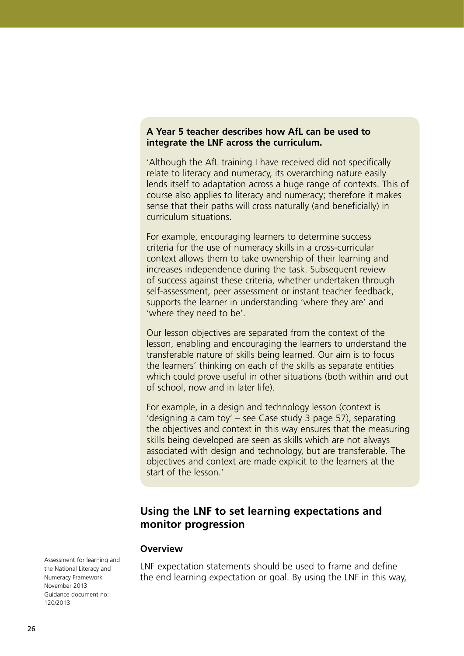#### **A Year 5 teacher describes how AfL can be used to integrate the LNF across the curriculum.**

'Although the AfL training I have received did not specifically relate to literacy and numeracy, its overarching nature easily lends itself to adaptation across a huge range of contexts. This of course also applies to literacy and numeracy; therefore it makes sense that their paths will cross naturally (and beneficially) in curriculum situations.

For example, encouraging learners to determine success criteria for the use of numeracy skills in a cross-curricular context allows them to take ownership of their learning and increases independence during the task. Subsequent review of success against these criteria, whether undertaken through self-assessment, peer assessment or instant teacher feedback, supports the learner in understanding 'where they are' and 'where they need to be'.

Our lesson objectives are separated from the context of the lesson, enabling and encouraging the learners to understand the transferable nature of skills being learned. Our aim is to focus the learners' thinking on each of the skills as separate entities which could prove useful in other situations (both within and out of school, now and in later life).

For example, in a design and technology lesson (context is 'designing a cam toy' – see Case study 3 page 57), separating the objectives and context in this way ensures that the measuring skills being developed are seen as skills which are not always associated with design and technology, but are transferable. The objectives and context are made explicit to the learners at the start of the lesson.'

### **Using the LNF to set learning expectations and monitor progression**

#### **Overview**

Assessment for learning and the National Literacy and Numeracy Framework November 2013 Guidance document no: 120/2013

LNF expectation statements should be used to frame and define the end learning expectation or goal. By using the LNF in this way,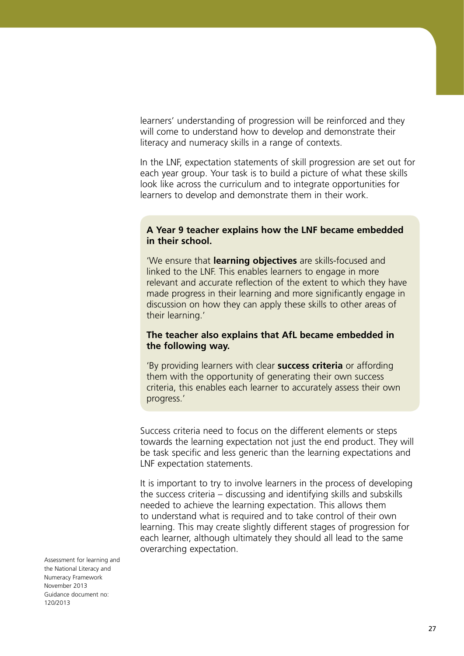learners' understanding of progression will be reinforced and they will come to understand how to develop and demonstrate their literacy and numeracy skills in a range of contexts.

In the LNF, expectation statements of skill progression are set out for each year group. Your task is to build a picture of what these skills look like across the curriculum and to integrate opportunities for learners to develop and demonstrate them in their work.

#### **A Year 9 teacher explains how the LNF became embedded in their school.**

'We ensure that **learning objectives** are skills-focused and linked to the LNF. This enables learners to engage in more relevant and accurate reflection of the extent to which they have made progress in their learning and more significantly engage in discussion on how they can apply these skills to other areas of their learning.'

#### **The teacher also explains that AfL became embedded in the following way.**

'By providing learners with clear **success criteria** or affording them with the opportunity of generating their own success criteria, this enables each learner to accurately assess their own progress.'

Success criteria need to focus on the different elements or steps towards the learning expectation not just the end product. They will be task specific and less generic than the learning expectations and LNF expectation statements.

It is important to try to involve learners in the process of developing the success criteria – discussing and identifying skills and subskills needed to achieve the learning expectation. This allows them to understand what is required and to take control of their own learning. This may create slightly different stages of progression for each learner, although ultimately they should all lead to the same overarching expectation.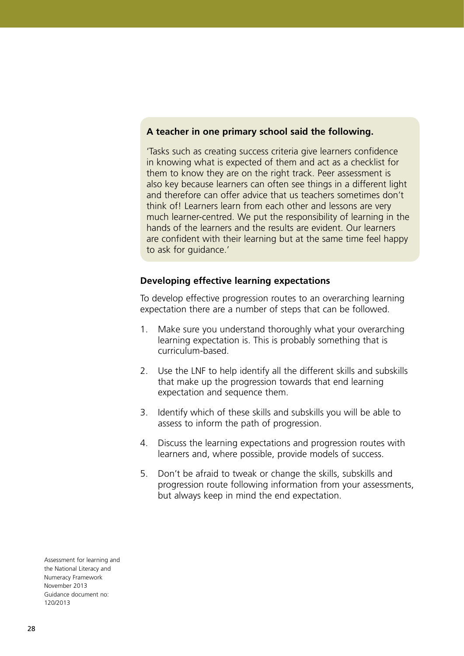#### **A teacher in one primary school said the following.**

'Tasks such as creating success criteria give learners confidence in knowing what is expected of them and act as a checklist for them to know they are on the right track. Peer assessment is also key because learners can often see things in a different light and therefore can offer advice that us teachers sometimes don't think of! Learners learn from each other and lessons are very much learner-centred. We put the responsibility of learning in the hands of the learners and the results are evident. Our learners are confident with their learning but at the same time feel happy to ask for guidance.'

#### **Developing effective learning expectations**

To develop effective progression routes to an overarching learning expectation there are a number of steps that can be followed.

- 1. Make sure you understand thoroughly what your overarching learning expectation is. This is probably something that is curriculum-based.
- 2. Use the LNF to help identify all the different skills and subskills that make up the progression towards that end learning expectation and sequence them.
- 3. Identify which of these skills and subskills you will be able to assess to inform the path of progression.
- 4. Discuss the learning expectations and progression routes with learners and, where possible, provide models of success.
- 5. Don't be afraid to tweak or change the skills, subskills and progression route following information from your assessments, but always keep in mind the end expectation.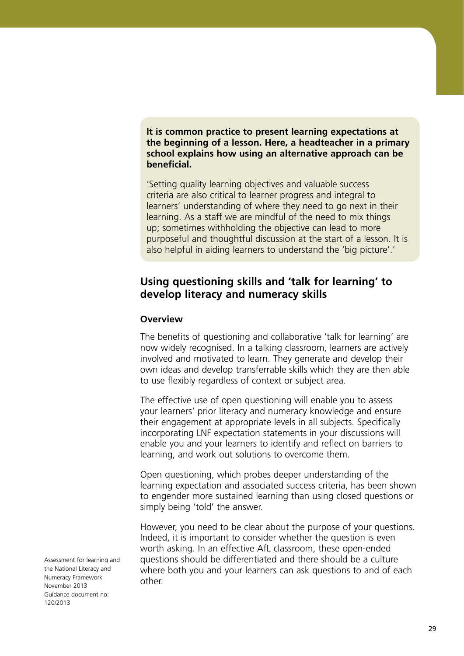**It is common practice to present learning expectations at the beginning of a lesson. Here, a headteacher in a primary school explains how using an alternative approach can be beneficial.** 

'Setting quality learning objectives and valuable success criteria are also critical to learner progress and integral to learners' understanding of where they need to go next in their learning. As a staff we are mindful of the need to mix things up; sometimes withholding the objective can lead to more purposeful and thoughtful discussion at the start of a lesson. It is also helpful in aiding learners to understand the 'big picture'.'

### **Using questioning skills and 'talk for learning' to develop literacy and numeracy skills**

#### **Overview**

The benefits of questioning and collaborative 'talk for learning' are now widely recognised. In a talking classroom, learners are actively involved and motivated to learn. They generate and develop their own ideas and develop transferrable skills which they are then able to use flexibly regardless of context or subject area.

The effective use of open questioning will enable you to assess your learners' prior literacy and numeracy knowledge and ensure their engagement at appropriate levels in all subjects. Specifically incorporating LNF expectation statements in your discussions will enable you and your learners to identify and reflect on barriers to learning, and work out solutions to overcome them.

Open questioning, which probes deeper understanding of the learning expectation and associated success criteria, has been shown to engender more sustained learning than using closed questions or simply being 'told' the answer.

However, you need to be clear about the purpose of your questions. Indeed, it is important to consider whether the question is even worth asking. In an effective AfL classroom, these open-ended questions should be differentiated and there should be a culture where both you and your learners can ask questions to and of each other.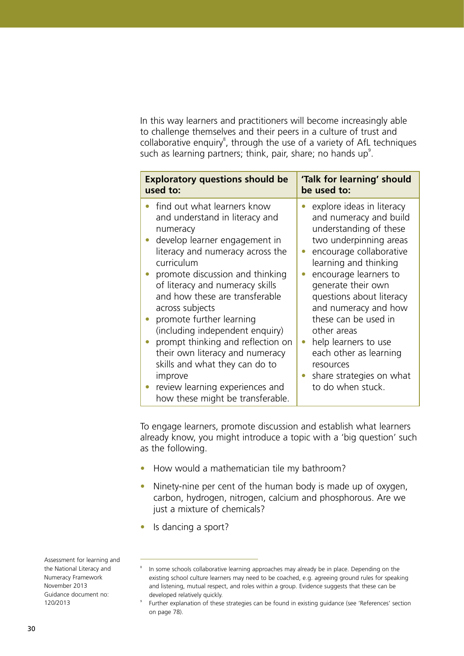In this way learners and practitioners will become increasingly able to challenge themselves and their peers in a culture of trust and collaborative enquiry<sup>8</sup>, through the use of a variety of AfL techniques such as learning partners; think, pair, share; no hands up<sup>9</sup>.

| <b>Exploratory questions should be</b>                                                                                                                                                                                                                                                                                                                                                                                                                                                                                                             | 'Talk for learning' should                                                                                                                                                                                                                                                                                                                                                                                            |  |  |
|----------------------------------------------------------------------------------------------------------------------------------------------------------------------------------------------------------------------------------------------------------------------------------------------------------------------------------------------------------------------------------------------------------------------------------------------------------------------------------------------------------------------------------------------------|-----------------------------------------------------------------------------------------------------------------------------------------------------------------------------------------------------------------------------------------------------------------------------------------------------------------------------------------------------------------------------------------------------------------------|--|--|
| used to:                                                                                                                                                                                                                                                                                                                                                                                                                                                                                                                                           | be used to:                                                                                                                                                                                                                                                                                                                                                                                                           |  |  |
| find out what learners know<br>and understand in literacy and<br>numeracy<br>develop learner engagement in<br>literacy and numeracy across the<br>curriculum<br>promote discussion and thinking<br>of literacy and numeracy skills<br>and how these are transferable<br>across subjects<br>promote further learning<br>(including independent enquiry)<br>prompt thinking and reflection on<br>their own literacy and numeracy<br>skills and what they can do to<br>improve<br>review learning experiences and<br>how these might be transferable. | explore ideas in literacy<br>and numeracy and build<br>understanding of these<br>two underpinning areas<br>encourage collaborative<br>learning and thinking<br>encourage learners to<br>generate their own<br>questions about literacy<br>and numeracy and how<br>these can be used in<br>other areas<br>help learners to use<br>each other as learning<br>resources<br>share strategies on what<br>to do when stuck. |  |  |

To engage learners, promote discussion and establish what learners already know, you might introduce a topic with a 'big question' such as the following.

- How would a mathematician tile my bathroom?
- Ninety-nine per cent of the human body is made up of oxygen, carbon, hydrogen, nitrogen, calcium and phosphorous. Are we just a mixture of chemicals?
- Is dancing a sport?

8

9

In some schools collaborative learning approaches may already be in place. Depending on the existing school culture learners may need to be coached, e.g. agreeing ground rules for speaking and listening, mutual respect, and roles within a group. Evidence suggests that these can be developed relatively quickly.

Further explanation of these strategies can be found in existing guidance (see 'References' section on page 78).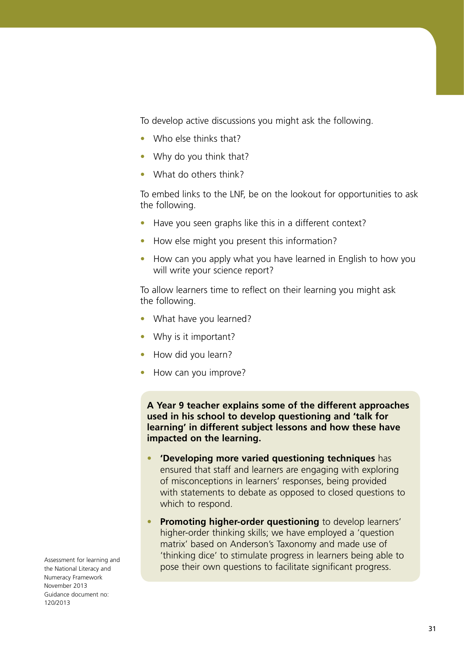To develop active discussions you might ask the following.

- **•**  Who else thinks that?
- Why do you think that?
- **•**  What do others think?

To embed links to the LNF, be on the lookout for opportunities to ask the following.

- **•**  Have you seen graphs like this in a different context?
- How else might you present this information?
- How can you apply what you have learned in English to how you will write your science report?

To allow learners time to reflect on their learning you might ask the following.

- What have you learned?
- **•**  Why is it important?
- **•**  How did you learn?
- **How can you improve?**

**A Year 9 teacher explains some of the different approaches used in his school to develop questioning and 'talk for learning' in different subject lessons and how these have impacted on the learning.**

- **• 'Developing more varied questioning techniques** has ensured that staff and learners are engaging with exploring of misconceptions in learners' responses, being provided with statements to debate as opposed to closed questions to which to respond.
- **Promoting higher-order questioning** to develop learners' higher-order thinking skills; we have employed a 'question matrix' based on Anderson's Taxonomy and made use of 'thinking dice' to stimulate progress in learners being able to pose their own questions to facilitate significant progress.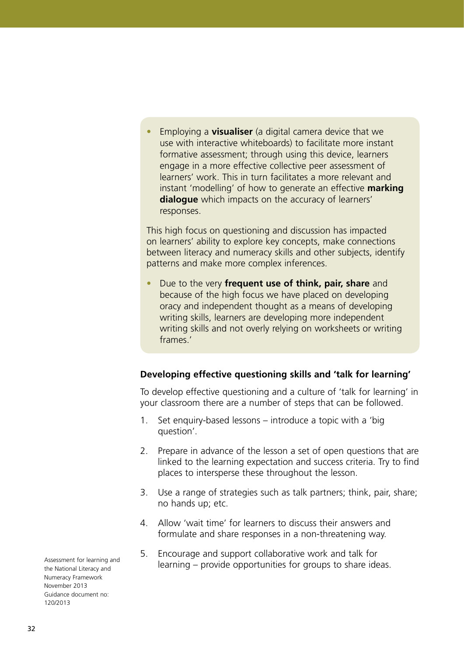Employing a **visualiser** (a digital camera device that we use with interactive whiteboards) to facilitate more instant formative assessment; through using this device, learners engage in a more effective collective peer assessment of learners' work. This in turn facilitates a more relevant and instant 'modelling' of how to generate an effective **marking dialogue** which impacts on the accuracy of learners' responses.

This high focus on questioning and discussion has impacted on learners' ability to explore key concepts, make connections between literacy and numeracy skills and other subjects, identify patterns and make more complex inferences.

**•**  Due to the very **frequent use of think, pair, share** and because of the high focus we have placed on developing oracy and independent thought as a means of developing writing skills, learners are developing more independent writing skills and not overly relying on worksheets or writing frames.'

### **Developing effective questioning skills and 'talk for learning'**

To develop effective questioning and a culture of 'talk for learning' in your classroom there are a number of steps that can be followed.

- 1. Set enquiry-based lessons introduce a topic with a 'big question'.
- 2. Prepare in advance of the lesson a set of open questions that are linked to the learning expectation and success criteria. Try to find places to intersperse these throughout the lesson.
- 3. Use a range of strategies such as talk partners; think, pair, share; no hands up; etc.
- 4. Allow 'wait time' for learners to discuss their answers and formulate and share responses in a non-threatening way.
- 5. Encourage and support collaborative work and talk for learning – provide opportunities for groups to share ideas.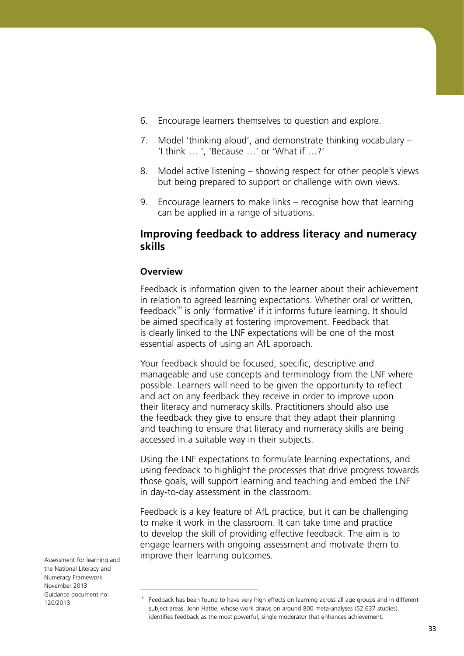- 6. Encourage learners themselves to question and explore.
- 7. Model 'thinking aloud', and demonstrate thinking vocabulary 'I think … ', 'Because …' or 'What if …?'
- 8. Model active listening showing respect for other people's views but being prepared to support or challenge with own views.
- 9. Encourage learners to make links recognise how that learning can be applied in a range of situations.

### **Improving feedback to address literacy and numeracy skills**

#### **Overview**

Feedback is information given to the learner about their achievement in relation to agreed learning expectations. Whether oral or written, feedback<sup>10</sup> is only 'formative' if it informs future learning. It should be aimed specifically at fostering improvement. Feedback that is clearly linked to the LNF expectations will be one of the most essential aspects of using an AfL approach.

Your feedback should be focused, specific, descriptive and manageable and use concepts and terminology from the LNF where possible. Learners will need to be given the opportunity to reflect and act on any feedback they receive in order to improve upon their literacy and numeracy skills. Practitioners should also use the feedback they give to ensure that they adapt their planning and teaching to ensure that literacy and numeracy skills are being accessed in a suitable way in their subjects.

Using the LNF expectations to formulate learning expectations, and using feedback to highlight the processes that drive progress towards those goals, will support learning and teaching and embed the LNF in day-to-day assessment in the classroom.

Feedback is a key feature of AfL practice, but it can be challenging to make it work in the classroom. It can take time and practice to develop the skill of providing effective feedback. The aim is to engage learners with ongoing assessment and motivate them to improve their learning outcomes.

<sup>&</sup>lt;sup>10</sup> Feedback has been found to have very high effects on learning across all age groups and in different subject areas. John Hattie, whose work draws on around 800 meta-analyses (52,637 studies), identifies feedback as the most powerful, single moderator that enhances achievement.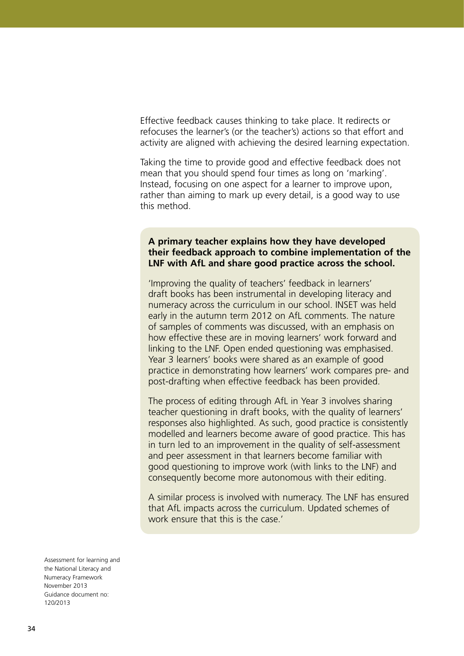Effective feedback causes thinking to take place. It redirects or refocuses the learner's (or the teacher's) actions so that effort and activity are aligned with achieving the desired learning expectation.

Taking the time to provide good and effective feedback does not mean that you should spend four times as long on 'marking'. Instead, focusing on one aspect for a learner to improve upon, rather than aiming to mark up every detail, is a good way to use this method.

#### **A primary teacher explains how they have developed their feedback approach to combine implementation of the LNF with AfL and share good practice across the school.**

'Improving the quality of teachers' feedback in learners' draft books has been instrumental in developing literacy and numeracy across the curriculum in our school. INSET was held early in the autumn term 2012 on AfL comments. The nature of samples of comments was discussed, with an emphasis on how effective these are in moving learners' work forward and linking to the LNF. Open ended questioning was emphasised. Year 3 learners' books were shared as an example of good practice in demonstrating how learners' work compares pre- and post-drafting when effective feedback has been provided.

The process of editing through AfL in Year 3 involves sharing teacher questioning in draft books, with the quality of learners' responses also highlighted. As such, good practice is consistently modelled and learners become aware of good practice. This has in turn led to an improvement in the quality of self-assessment and peer assessment in that learners become familiar with good questioning to improve work (with links to the LNF) and consequently become more autonomous with their editing.

A similar process is involved with numeracy. The LNF has ensured that AfL impacts across the curriculum. Updated schemes of work ensure that this is the case.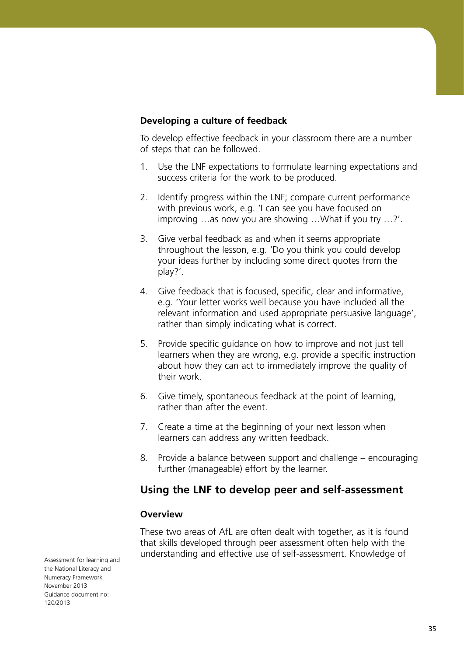#### **Developing a culture of feedback**

To develop effective feedback in your classroom there are a number of steps that can be followed.

- 1. Use the LNF expectations to formulate learning expectations and success criteria for the work to be produced.
- 2. Identify progress within the LNF; compare current performance with previous work, e.g. 'I can see you have focused on improving …as now you are showing …What if you try …?'.
- 3. Give verbal feedback as and when it seems appropriate throughout the lesson, e.g. 'Do you think you could develop your ideas further by including some direct quotes from the play?'.
- 4. Give feedback that is focused, specific, clear and informative, e.g. 'Your letter works well because you have included all the relevant information and used appropriate persuasive language', rather than simply indicating what is correct.
- 5. Provide specific guidance on how to improve and not just tell learners when they are wrong, e.g. provide a specific instruction about how they can act to immediately improve the quality of their work.
- 6. Give timely, spontaneous feedback at the point of learning, rather than after the event.
- 7. Create a time at the beginning of your next lesson when learners can address any written feedback.
- 8. Provide a balance between support and challenge encouraging further (manageable) effort by the learner.

## **Using the LNF to develop peer and self-assessment**

#### **Overview**

These two areas of AfL are often dealt with together, as it is found that skills developed through peer assessment often help with the understanding and effective use of self-assessment. Knowledge of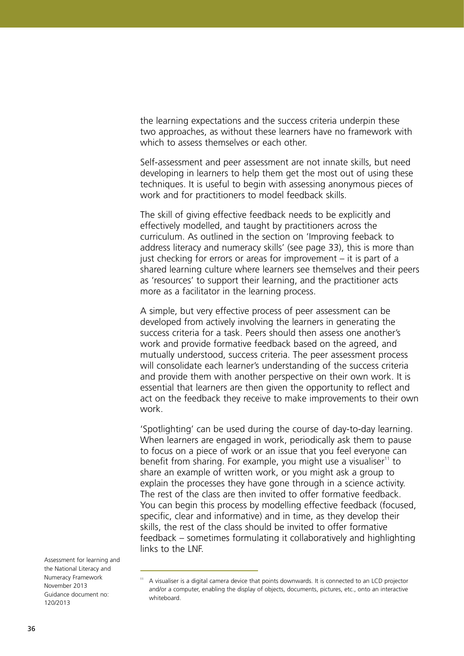the learning expectations and the success criteria underpin these two approaches, as without these learners have no framework with which to assess themselves or each other

Self-assessment and peer assessment are not innate skills, but need developing in learners to help them get the most out of using these techniques. It is useful to begin with assessing anonymous pieces of work and for practitioners to model feedback skills.

The skill of giving effective feedback needs to be explicitly and effectively modelled, and taught by practitioners across the curriculum. As outlined in the section on 'Improving feeback to address literacy and numeracy skills' (see page 33), this is more than just checking for errors or areas for improvement – it is part of a shared learning culture where learners see themselves and their peers as 'resources' to support their learning, and the practitioner acts more as a facilitator in the learning process.

A simple, but very effective process of peer assessment can be developed from actively involving the learners in generating the success criteria for a task. Peers should then assess one another's work and provide formative feedback based on the agreed, and mutually understood, success criteria. The peer assessment process will consolidate each learner's understanding of the success criteria and provide them with another perspective on their own work. It is essential that learners are then given the opportunity to reflect and act on the feedback they receive to make improvements to their own work.

'Spotlighting' can be used during the course of day-to-day learning. When learners are engaged in work, periodically ask them to pause to focus on a piece of work or an issue that you feel everyone can benefit from sharing. For example, you might use a visualiser $11$  to share an example of written work, or you might ask a group to explain the processes they have gone through in a science activity. The rest of the class are then invited to offer formative feedback. You can begin this process by modelling effective feedback (focused, specific, clear and informative) and in time, as they develop their skills, the rest of the class should be invited to offer formative feedback – sometimes formulating it collaboratively and highlighting links to the LNF.

<sup>&</sup>lt;sup>11</sup> A visualiser is a digital camera device that points downwards. It is connected to an LCD projector and/or a computer, enabling the display of objects, documents, pictures, etc., onto an interactive whiteboard.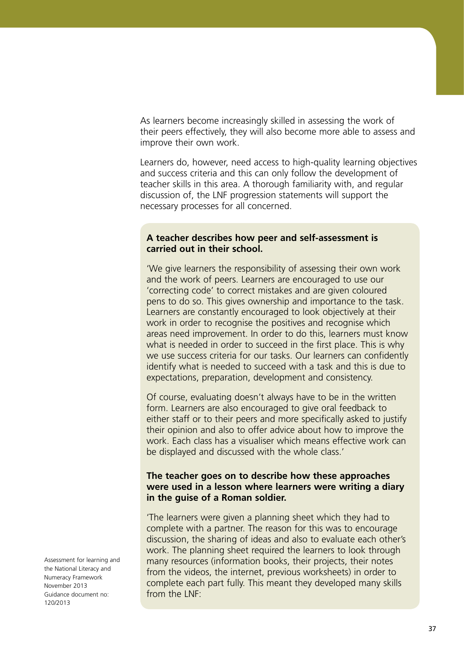As learners become increasingly skilled in assessing the work of their peers effectively, they will also become more able to assess and improve their own work.

Learners do, however, need access to high-quality learning objectives and success criteria and this can only follow the development of teacher skills in this area. A thorough familiarity with, and regular discussion of, the LNF progression statements will support the necessary processes for all concerned.

#### **A teacher describes how peer and self-assessment is carried out in their school.**

'We give learners the responsibility of assessing their own work and the work of peers. Learners are encouraged to use our 'correcting code' to correct mistakes and are given coloured pens to do so. This gives ownership and importance to the task. Learners are constantly encouraged to look objectively at their work in order to recognise the positives and recognise which areas need improvement. In order to do this, learners must know what is needed in order to succeed in the first place. This is why we use success criteria for our tasks. Our learners can confidently identify what is needed to succeed with a task and this is due to expectations, preparation, development and consistency.

Of course, evaluating doesn't always have to be in the written form. Learners are also encouraged to give oral feedback to either staff or to their peers and more specifically asked to justify their opinion and also to offer advice about how to improve the work. Each class has a visualiser which means effective work can be displayed and discussed with the whole class.'

#### **The teacher goes on to describe how these approaches were used in a lesson where learners were writing a diary in the guise of a Roman soldier.**

'The learners were given a planning sheet which they had to complete with a partner. The reason for this was to encourage discussion, the sharing of ideas and also to evaluate each other's work. The planning sheet required the learners to look through many resources (information books, their projects, their notes from the videos, the internet, previous worksheets) in order to complete each part fully. This meant they developed many skills from the LNF<sup>.</sup>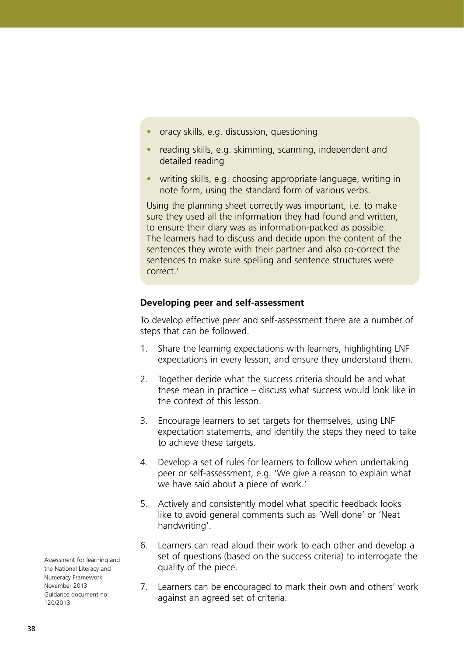- oracy skills, e.g. discussion, questioning
- reading skills, e.g. skimming, scanning, independent and detailed reading
- writing skills, e.g. choosing appropriate language, writing in note form, using the standard form of various verbs.

Using the planning sheet correctly was important, i.e. to make sure they used all the information they had found and written, to ensure their diary was as information-packed as possible. The learners had to discuss and decide upon the content of the sentences they wrote with their partner and also co-correct the sentences to make sure spelling and sentence structures were correct.'

## **Developing peer and self-assessment**

To develop effective peer and self-assessment there are a number of steps that can be followed.

- 1. Share the learning expectations with learners, highlighting LNF expectations in every lesson, and ensure they understand them.
- 2. Together decide what the success criteria should be and what these mean in practice – discuss what success would look like in the context of this lesson.
- 3. Encourage learners to set targets for themselves, using LNF expectation statements, and identify the steps they need to take to achieve these targets.
- 4. Develop a set of rules for learners to follow when undertaking peer or self-assessment, e.g. 'We give a reason to explain what we have said about a piece of work.'
- 5. Actively and consistently model what specific feedback looks like to avoid general comments such as 'Well done' or 'Neat handwriting'.
- 6. Learners can read aloud their work to each other and develop a set of questions (based on the success criteria) to interrogate the quality of the piece.
- 7. Learners can be encouraged to mark their own and others' work against an agreed set of criteria.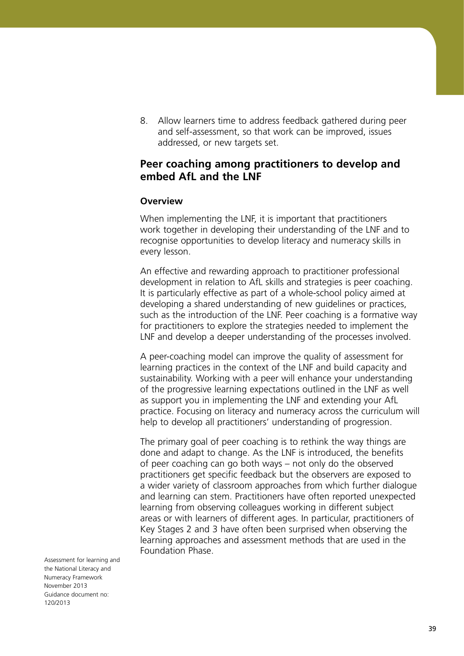8. Allow learners time to address feedback gathered during peer and self-assessment, so that work can be improved, issues addressed, or new targets set.

# **Peer coaching among practitioners to develop and embed AfL and the LNF**

#### **Overview**

When implementing the LNF, it is important that practitioners work together in developing their understanding of the LNF and to recognise opportunities to develop literacy and numeracy skills in every lesson.

An effective and rewarding approach to practitioner professional development in relation to AfL skills and strategies is peer coaching. It is particularly effective as part of a whole-school policy aimed at developing a shared understanding of new guidelines or practices, such as the introduction of the LNF. Peer coaching is a formative way for practitioners to explore the strategies needed to implement the LNF and develop a deeper understanding of the processes involved.

A peer-coaching model can improve the quality of assessment for learning practices in the context of the LNF and build capacity and sustainability. Working with a peer will enhance your understanding of the progressive learning expectations outlined in the LNF as well as support you in implementing the LNF and extending your AfL practice. Focusing on literacy and numeracy across the curriculum will help to develop all practitioners' understanding of progression.

The primary goal of peer coaching is to rethink the way things are done and adapt to change. As the LNF is introduced, the benefits of peer coaching can go both ways – not only do the observed practitioners get specific feedback but the observers are exposed to a wider variety of classroom approaches from which further dialogue and learning can stem. Practitioners have often reported unexpected learning from observing colleagues working in different subject areas or with learners of different ages. In particular, practitioners of Key Stages 2 and 3 have often been surprised when observing the learning approaches and assessment methods that are used in the Foundation Phase.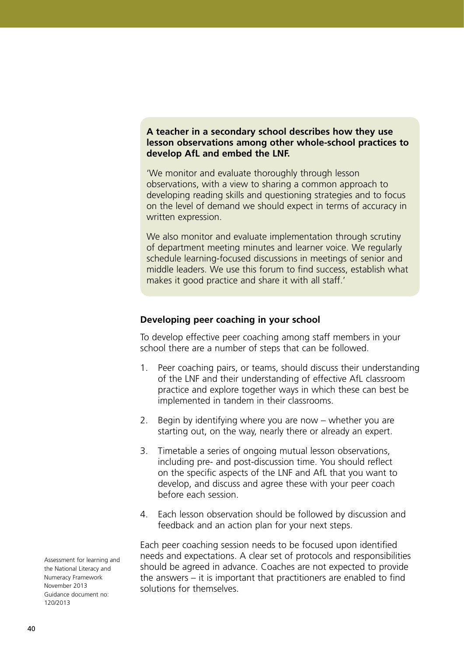## **A teacher in a secondary school describes how they use lesson observations among other whole-school practices to develop AfL and embed the LNF.**

'We monitor and evaluate thoroughly through lesson observations, with a view to sharing a common approach to developing reading skills and questioning strategies and to focus on the level of demand we should expect in terms of accuracy in written expression.

We also monitor and evaluate implementation through scrutiny of department meeting minutes and learner voice. We regularly schedule learning-focused discussions in meetings of senior and middle leaders. We use this forum to find success, establish what makes it good practice and share it with all staff.'

#### **Developing peer coaching in your school**

To develop effective peer coaching among staff members in your school there are a number of steps that can be followed.

- 1. Peer coaching pairs, or teams, should discuss their understanding of the LNF and their understanding of effective AfL classroom practice and explore together ways in which these can best be implemented in tandem in their classrooms.
- 2. Begin by identifying where you are now whether you are starting out, on the way, nearly there or already an expert.
- 3. Timetable a series of ongoing mutual lesson observations, including pre- and post-discussion time. You should reflect on the specific aspects of the LNF and AfL that you want to develop, and discuss and agree these with your peer coach before each session.
- 4. Each lesson observation should be followed by discussion and feedback and an action plan for your next steps.

Each peer coaching session needs to be focused upon identified needs and expectations. A clear set of protocols and responsibilities should be agreed in advance. Coaches are not expected to provide the answers – it is important that practitioners are enabled to find solutions for themselves.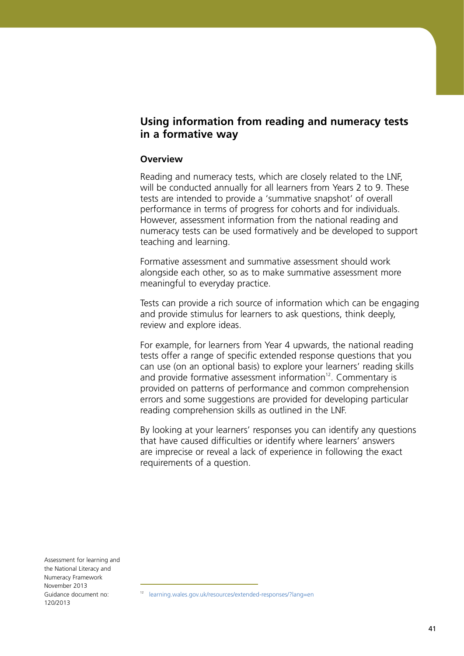# **Using information from reading and numeracy tests in a formative way**

## **Overview**

Reading and numeracy tests, which are closely related to the LNF, will be conducted annually for all learners from Years 2 to 9. These tests are intended to provide a 'summative snapshot' of overall performance in terms of progress for cohorts and for individuals. However, assessment information from the national reading and numeracy tests can be used formatively and be developed to support teaching and learning.

Formative assessment and summative assessment should work alongside each other, so as to make summative assessment more meaningful to everyday practice.

Tests can provide a rich source of information which can be engaging and provide stimulus for learners to ask questions, think deeply, review and explore ideas.

For example, for learners from Year 4 upwards, the national reading tests offer a range of specific extended response questions that you can use (on an optional basis) to explore your learners' reading skills and provide formative assessment information $12$ . Commentary is provided on patterns of performance and common comprehension errors and some suggestions are provided for developing particular reading comprehension skills as outlined in the LNF.

By looking at your learners' responses you can identify any questions that have caused difficulties or identify where learners' answers are imprecise or reveal a lack of experience in following the exact requirements of a question.

<sup>12</sup> [learning.wales.gov.uk/resources/extended-responses/?lang=en](http://learning.wales.gov.uk/resources/extended-responses/?lang=en)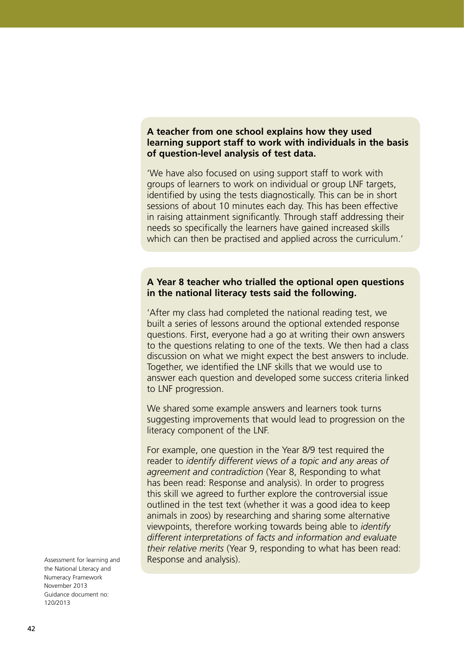## **A teacher from one school explains how they used learning support staff to work with individuals in the basis of question-level analysis of test data.**

'We have also focused on using support staff to work with groups of learners to work on individual or group LNF targets, identified by using the tests diagnostically. This can be in short sessions of about 10 minutes each day. This has been effective in raising attainment significantly. Through staff addressing their needs so specifically the learners have gained increased skills which can then be practised and applied across the curriculum.'

## **A Year 8 teacher who trialled the optional open questions in the national literacy tests said the following.**

'After my class had completed the national reading test, we built a series of lessons around the optional extended response questions. First, everyone had a go at writing their own answers to the questions relating to one of the texts. We then had a class discussion on what we might expect the best answers to include. Together, we identified the LNF skills that we would use to answer each question and developed some success criteria linked to LNF progression.

We shared some example answers and learners took turns suggesting improvements that would lead to progression on the literacy component of the LNF.

For example, one question in the Year 8/9 test required the reader to *identify different views of a topic and any areas of agreement and contradiction* (Year 8, Responding to what has been read: Response and analysis). In order to progress this skill we agreed to further explore the controversial issue outlined in the test text (whether it was a good idea to keep animals in zoos) by researching and sharing some alternative viewpoints, therefore working towards being able to *identify different interpretations of facts and information and evaluate their relative merits* (Year 9, responding to what has been read: Response and analysis).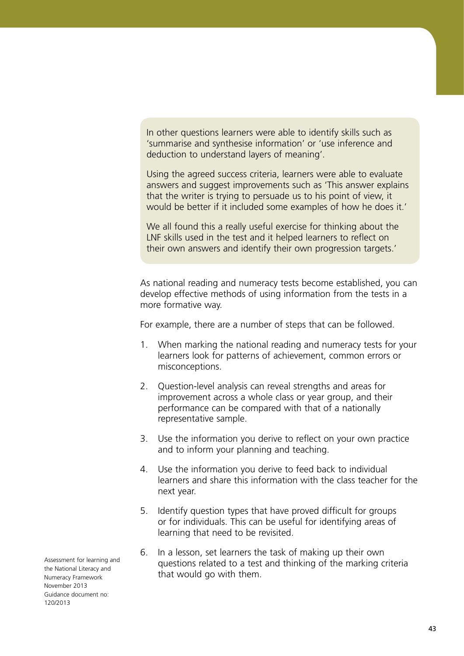In other questions learners were able to identify skills such as 'summarise and synthesise information' or 'use inference and deduction to understand layers of meaning'.

Using the agreed success criteria, learners were able to evaluate answers and suggest improvements such as 'This answer explains that the writer is trying to persuade us to his point of view, it would be better if it included some examples of how he does it.'

We all found this a really useful exercise for thinking about the LNF skills used in the test and it helped learners to reflect on their own answers and identify their own progression targets.'

As national reading and numeracy tests become established, you can develop effective methods of using information from the tests in a more formative way.

For example, there are a number of steps that can be followed.

- 1. When marking the national reading and numeracy tests for your learners look for patterns of achievement, common errors or misconceptions.
- 2. Question-level analysis can reveal strengths and areas for improvement across a whole class or year group, and their performance can be compared with that of a nationally representative sample.
- 3. Use the information you derive to reflect on your own practice and to inform your planning and teaching.
- 4. Use the information you derive to feed back to individual learners and share this information with the class teacher for the next year.
- 5. Identify question types that have proved difficult for groups or for individuals. This can be useful for identifying areas of learning that need to be revisited.
- 6. In a lesson, set learners the task of making up their own questions related to a test and thinking of the marking criteria that would go with them.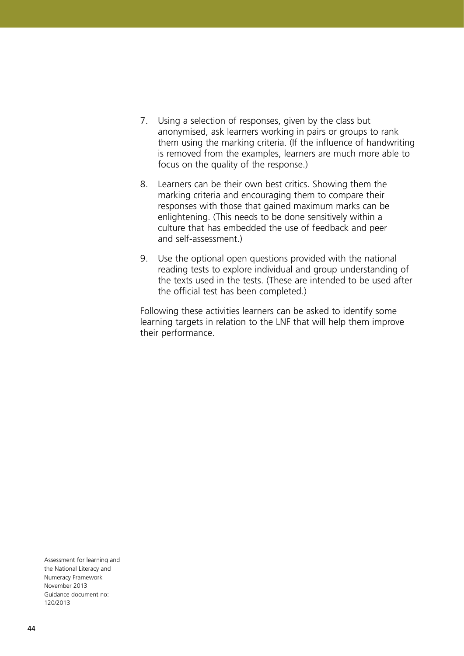- 7. Using a selection of responses, given by the class but anonymised, ask learners working in pairs or groups to rank them using the marking criteria. (If the influence of handwriting is removed from the examples, learners are much more able to focus on the quality of the response.)
- 8. Learners can be their own best critics. Showing them the marking criteria and encouraging them to compare their responses with those that gained maximum marks can be enlightening. (This needs to be done sensitively within a culture that has embedded the use of feedback and peer and self-assessment.)
- 9. Use the optional open questions provided with the national reading tests to explore individual and group understanding of the texts used in the tests. (These are intended to be used after the official test has been completed.)

Following these activities learners can be asked to identify some learning targets in relation to the LNF that will help them improve their performance.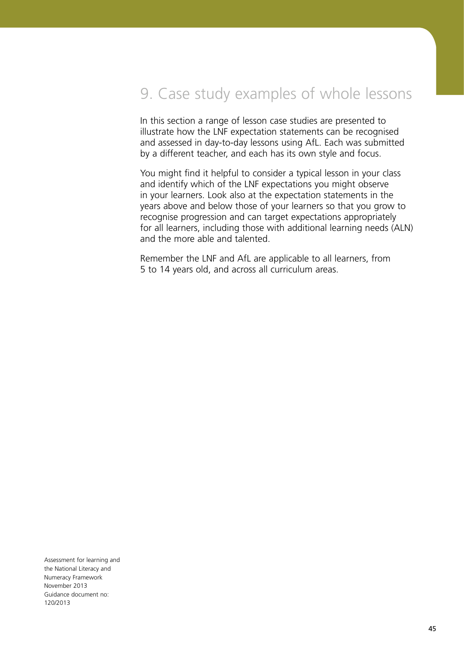# 9. Case study examples of whole lessons

In this section a range of lesson case studies are presented to illustrate how the LNF expectation statements can be recognised and assessed in day-to-day lessons using AfL. Each was submitted by a different teacher, and each has its own style and focus.

You might find it helpful to consider a typical lesson in your class and identify which of the LNF expectations you might observe in your learners. Look also at the expectation statements in the years above and below those of your learners so that you grow to recognise progression and can target expectations appropriately for all learners, including those with additional learning needs (ALN) and the more able and talented.

Remember the LNF and AfL are applicable to all learners, from 5 to 14 years old, and across all curriculum areas.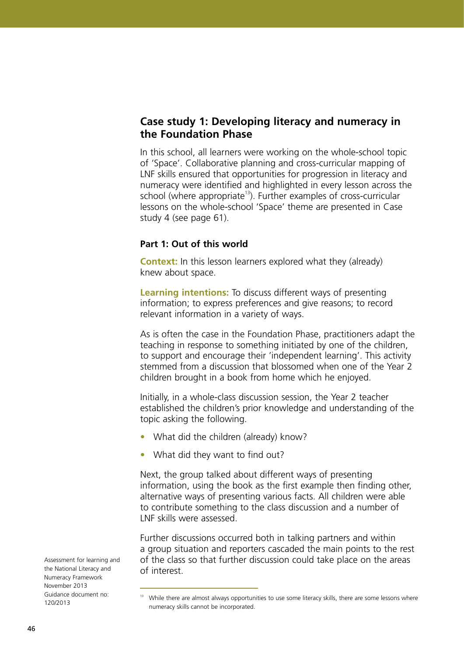# **Case study 1: Developing literacy and numeracy in the Foundation Phase**

In this school, all learners were working on the whole-school topic of 'Space'. Collaborative planning and cross-curricular mapping of LNF skills ensured that opportunities for progression in literacy and numeracy were identified and highlighted in every lesson across the school (where appropriate<sup>13</sup>). Further examples of cross-curricular lessons on the whole-school 'Space' theme are presented in Case study 4 (see page 61).

## **Part 1: Out of this world**

**Context:** In this lesson learners explored what they (already) knew about space.

**Learning intentions:** To discuss different ways of presenting information; to express preferences and give reasons; to record relevant information in a variety of ways.

As is often the case in the Foundation Phase, practitioners adapt the teaching in response to something initiated by one of the children, to support and encourage their 'independent learning'. This activity stemmed from a discussion that blossomed when one of the Year 2 children brought in a book from home which he enjoyed.

Initially, in a whole-class discussion session, the Year 2 teacher established the children's prior knowledge and understanding of the topic asking the following.

- What did the children (already) know?
- What did they want to find out?

Next, the group talked about different ways of presenting information, using the book as the first example then finding other, alternative ways of presenting various facts. All children were able to contribute something to the class discussion and a number of LNF skills were assessed.

Further discussions occurred both in talking partners and within a group situation and reporters cascaded the main points to the rest of the class so that further discussion could take place on the areas of interest.

<sup>&</sup>lt;sup>13</sup> While there are almost always opportunities to use some literacy skills, there are some lessons where numeracy skills cannot be incorporated.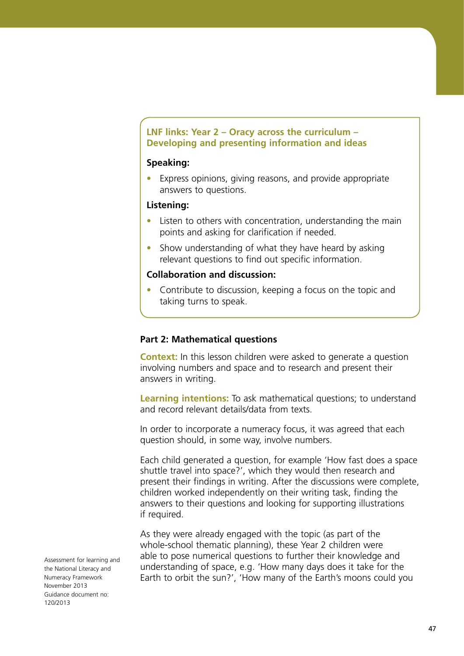## **LNF links: Year 2 – Oracy across the curriculum – Developing and presenting information and ideas**

#### **Speaking:**

• Express opinions, giving reasons, and provide appropriate answers to questions.

#### **Listening:**

- Listen to others with concentration, understanding the main points and asking for clarification if needed.
- Show understanding of what they have heard by asking relevant questions to find out specific information.

#### **Collaboration and discussion:**

Contribute to discussion, keeping a focus on the topic and taking turns to speak.

## **Part 2: Mathematical questions**

**Context:** In this lesson children were asked to generate a question involving numbers and space and to research and present their answers in writing.

**Learning intentions:** To ask mathematical questions; to understand and record relevant details/data from texts.

In order to incorporate a numeracy focus, it was agreed that each question should, in some way, involve numbers.

Each child generated a question, for example 'How fast does a space shuttle travel into space?', which they would then research and present their findings in writing. After the discussions were complete, children worked independently on their writing task, finding the answers to their questions and looking for supporting illustrations if required.

As they were already engaged with the topic (as part of the whole-school thematic planning), these Year 2 children were able to pose numerical questions to further their knowledge and understanding of space, e.g. 'How many days does it take for the Earth to orbit the sun?', 'How many of the Earth's moons could you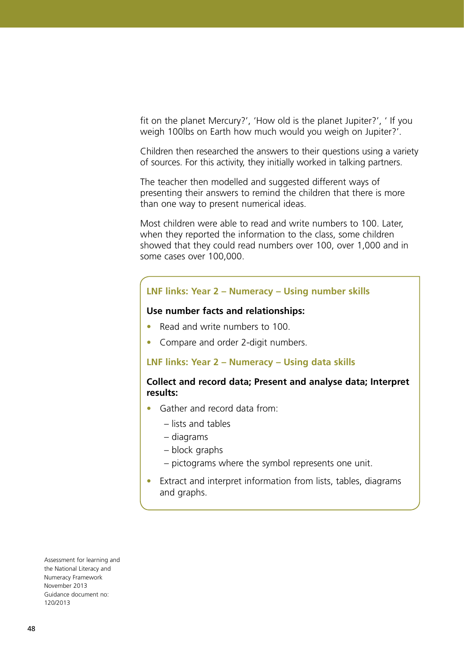fit on the planet Mercury?', 'How old is the planet Jupiter?', ' If you weigh 100lbs on Earth how much would you weigh on Jupiter?'.

Children then researched the answers to their questions using a variety of sources. For this activity, they initially worked in talking partners.

The teacher then modelled and suggested different ways of presenting their answers to remind the children that there is more than one way to present numerical ideas.

Most children were able to read and write numbers to 100. Later, when they reported the information to the class, some children showed that they could read numbers over 100, over 1,000 and in some cases over 100,000.

#### **LNF links: Year 2 – Numeracy – Using number skills**

#### **Use number facts and relationships:**

- **•**  Read and write numbers to 100.
- **•**  Compare and order 2-digit numbers.

#### **LNF links: Year 2 – Numeracy – Using data skills**

## **Collect and record data; Present and analyse data; Interpret results:**

- **•**  Gather and record data from:
	- lists and tables
	- diagrams
	- block graphs
	- pictograms where the symbol represents one unit.
- **•**  Extract and interpret information from lists, tables, diagrams and graphs.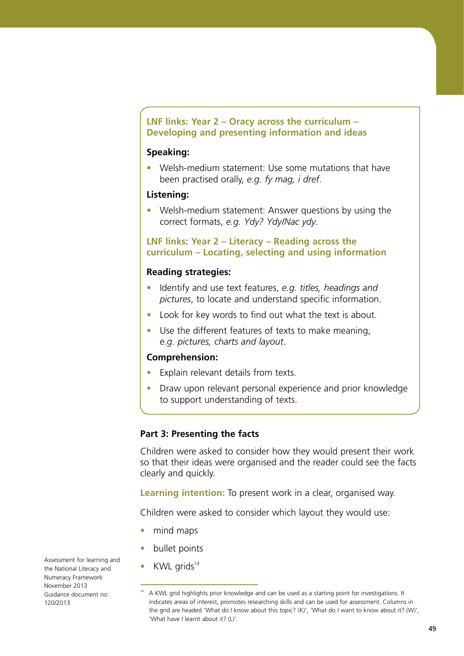## **LNF links: Year 2 – Oracy across the curriculum – Developing and presenting information and ideas**

## **Speaking:**

**•**  Welsh-medium statement: Use some mutations that have been practised orally, *e.g. fy mag, i dref*.

#### **Listening:**

**•**  Welsh-medium statement: Answer questions by using the correct formats, *e.g. Ydy? Ydy/Nac ydy*.

## **LNF links: Year 2 – Literacy – Reading across the curriculum – Locating, selecting and using information**

#### **Reading strategies:**

- **•**  Identify and use text features, *e.g. titles, headings and pictures*, to locate and understand specific information.
- **•**  Look for key words to find out what the text is about.
- **•**  Use the different features of texts to make meaning, *e.g. pictures, charts and layout*.

## **Comprehension:**

- **•**  Explain relevant details from texts.
- Draw upon relevant personal experience and prior knowledge to support understanding of texts.

## **Part 3: Presenting the facts**

Children were asked to consider how they would present their work so that their ideas were organised and the reader could see the facts clearly and quickly.

**Learning intention:** To present work in a clear, organised way.

Children were asked to consider which layout they would use:

- **•**  mind maps
- **•**  bullet points
- **KWL** grids<sup>14</sup>

 $14$  A KWL grid highlights prior knowledge and can be used as a starting point for investigations. It indicates areas of interest, promotes researching skills and can be used for assessment. Columns in the grid are headed 'What do I know about this topic? (K)', 'What do I want to know about it? (W)', 'What have I learnt about it? (L)'.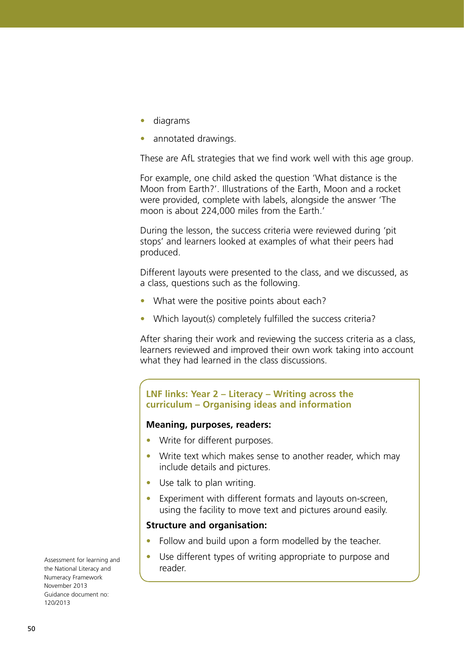- **•**  diagrams
- annotated drawings.

These are AfL strategies that we find work well with this age group.

For example, one child asked the question 'What distance is the Moon from Earth?'. Illustrations of the Earth, Moon and a rocket were provided, complete with labels, alongside the answer 'The moon is about 224,000 miles from the Earth.'

During the lesson, the success criteria were reviewed during 'pit stops' and learners looked at examples of what their peers had produced.

Different layouts were presented to the class, and we discussed, as a class, questions such as the following.

- What were the positive points about each?
- Which layout(s) completely fulfilled the success criteria?

After sharing their work and reviewing the success criteria as a class, learners reviewed and improved their own work taking into account what they had learned in the class discussions.

#### **LNF links: Year 2 – Literacy – Writing across the curriculum – Organising ideas and information**

#### **Meaning, purposes, readers:**

- **•**  Write for different purposes.
- Write text which makes sense to another reader, which may include details and pictures.
- Use talk to plan writing.
- **•**  Experiment with different formats and layouts on-screen, using the facility to move text and pictures around easily.

#### **Structure and organisation:**

- Follow and build upon a form modelled by the teacher.
- Use different types of writing appropriate to purpose and reader.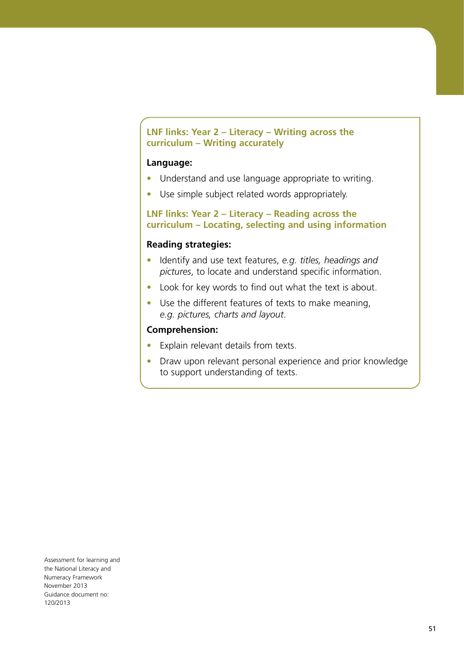## **LNF links: Year 2 – Literacy – Writing across the curriculum – Writing accurately**

## **Language:**

- **•**  Understand and use language appropriate to writing.
- Use simple subject related words appropriately.

## **LNF links: Year 2 – Literacy – Reading across the curriculum – Locating, selecting and using information**

#### **Reading strategies:**

- **•**  Identify and use text features, *e.g. titles, headings and pictures*, to locate and understand specific information.
- **•**  Look for key words to find out what the text is about.
- **•**  Use the different features of texts to make meaning, *e.g. pictures, charts and layout*.

## **Comprehension:**

- **•**  Explain relevant details from texts.
- **•** Draw upon relevant personal experience and prior knowledge to support understanding of texts.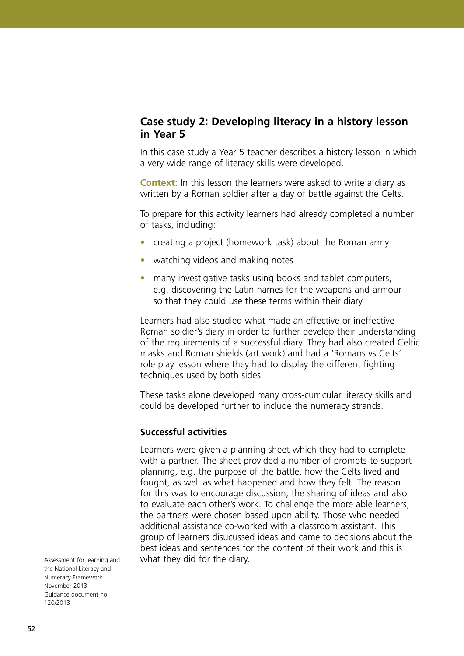# **Case study 2: Developing literacy in a history lesson in Year 5**

In this case study a Year 5 teacher describes a history lesson in which a very wide range of literacy skills were developed.

**Context:** In this lesson the learners were asked to write a diary as written by a Roman soldier after a day of battle against the Celts.

To prepare for this activity learners had already completed a number of tasks, including:

- **•**  creating a project (homework task) about the Roman army
- watching videos and making notes
- many investigative tasks using books and tablet computers, e.g. discovering the Latin names for the weapons and armour so that they could use these terms within their diary.

Learners had also studied what made an effective or ineffective Roman soldier's diary in order to further develop their understanding of the requirements of a successful diary. They had also created Celtic masks and Roman shields (art work) and had a 'Romans vs Celts' role play lesson where they had to display the different fighting techniques used by both sides.

These tasks alone developed many cross-curricular literacy skills and could be developed further to include the numeracy strands.

## **Successful activities**

Learners were given a planning sheet which they had to complete with a partner. The sheet provided a number of prompts to support planning, e.g. the purpose of the battle, how the Celts lived and fought, as well as what happened and how they felt. The reason for this was to encourage discussion, the sharing of ideas and also to evaluate each other's work. To challenge the more able learners, the partners were chosen based upon ability. Those who needed additional assistance co-worked with a classroom assistant. This group of learners disucussed ideas and came to decisions about the best ideas and sentences for the content of their work and this is what they did for the diary.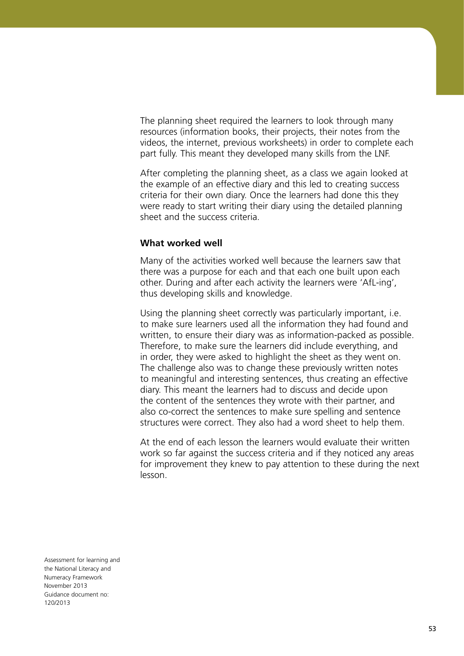The planning sheet required the learners to look through many resources (information books, their projects, their notes from the videos, the internet, previous worksheets) in order to complete each part fully. This meant they developed many skills from the LNF.

After completing the planning sheet, as a class we again looked at the example of an effective diary and this led to creating success criteria for their own diary. Once the learners had done this they were ready to start writing their diary using the detailed planning sheet and the success criteria.

#### **What worked well**

Many of the activities worked well because the learners saw that there was a purpose for each and that each one built upon each other. During and after each activity the learners were 'AfL-ing', thus developing skills and knowledge.

Using the planning sheet correctly was particularly important, i.e. to make sure learners used all the information they had found and written, to ensure their diary was as information-packed as possible. Therefore, to make sure the learners did include everything, and in order, they were asked to highlight the sheet as they went on. The challenge also was to change these previously written notes to meaningful and interesting sentences, thus creating an effective diary. This meant the learners had to discuss and decide upon the content of the sentences they wrote with their partner, and also co-correct the sentences to make sure spelling and sentence structures were correct. They also had a word sheet to help them.

At the end of each lesson the learners would evaluate their written work so far against the success criteria and if they noticed any areas for improvement they knew to pay attention to these during the next lesson.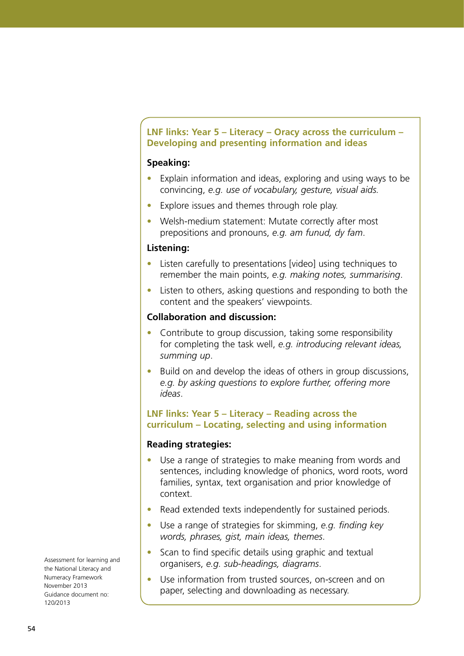## **LNF links: Year 5 – Literacy – Oracy across the curriculum – Developing and presenting information and ideas**

## **Speaking:**

- **•**  Explain information and ideas, exploring and using ways to be convincing, *e.g. use of vocabulary, gesture, visual aids.*
- Explore issues and themes through role play.
- **•**  Welsh-medium statement: Mutate correctly after most prepositions and pronouns, *e.g. am funud, dy fam*.

## **Listening:**

- Listen carefully to presentations [video] using techniques to remember the main points, *e.g. making notes, summarising*.
- Listen to others, asking questions and responding to both the content and the speakers' viewpoints.

## **Collaboration and discussion:**

- Contribute to group discussion, taking some responsibility for completing the task well, *e.g. introducing relevant ideas, summing up*.
- Build on and develop the ideas of others in group discussions, *e.g. by asking questions to explore further, offering more ideas*.

## **LNF links: Year 5 – Literacy – Reading across the curriculum – Locating, selecting and using information**

## **Reading strategies:**

- **•**  Use a range of strategies to make meaning from words and sentences, including knowledge of phonics, word roots, word families, syntax, text organisation and prior knowledge of context.
- Read extended texts independently for sustained periods.
- **•**  Use a range of strategies for skimming, *e.g. finding key words, phrases, gist, main ideas, themes*.
- Scan to find specific details using graphic and textual organisers, *e.g. sub-headings, diagrams*.
- Use information from trusted sources, on-screen and on paper, selecting and downloading as necessary.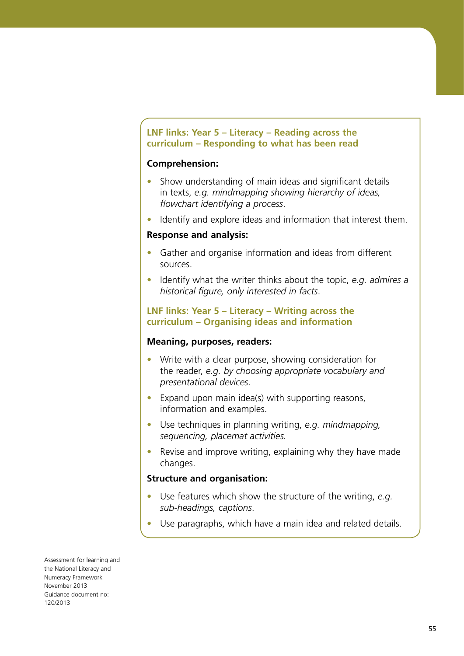## **LNF links: Year 5 – Literacy – Reading across the curriculum – Responding to what has been read**

## **Comprehension:**

- Show understanding of main ideas and significant details in texts, *e.g. mindmapping showing hierarchy of ideas, flowchart identifying a process*.
- Identify and explore ideas and information that interest them.

#### **Response and analysis:**

- **•**  Gather and organise information and ideas from different sources.
- **•**  Identify what the writer thinks about the topic, *e.g. admires a historical figure, only interested in facts*.

## **LNF links: Year 5 – Literacy – Writing across the curriculum – Organising ideas and information**

## **Meaning, purposes, readers:**

- **•**  Write with a clear purpose, showing consideration for the reader, *e.g. by choosing appropriate vocabulary and presentational devices*.
- **•**  Expand upon main idea(s) with supporting reasons, information and examples.
- **•**  Use techniques in planning writing, *e.g. mindmapping, sequencing, placemat activities.*
- **•**  Revise and improve writing, explaining why they have made changes.

## **Structure and organisation:**

- Use features which show the structure of the writing, *e.g. sub-headings, captions*.
- Use paragraphs, which have a main idea and related details.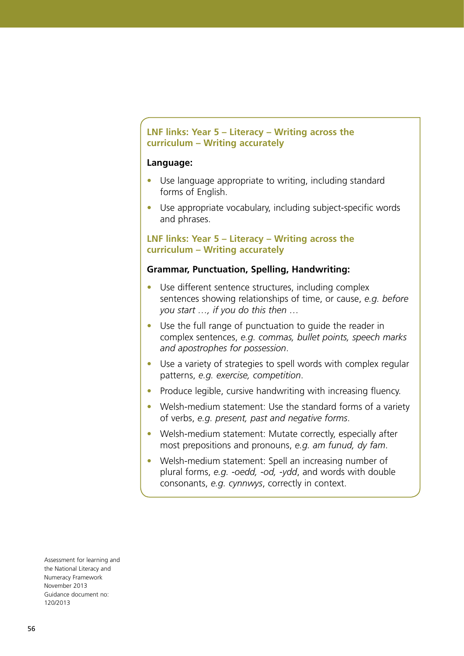## **LNF links: Year 5 – Literacy – Writing across the curriculum – Writing accurately**

#### **Language:**

- Use language appropriate to writing, including standard forms of English.
- Use appropriate vocabulary, including subject-specific words and phrases.

## **LNF links: Year 5 – Literacy – Writing across the curriculum – Writing accurately**

#### **Grammar, Punctuation, Spelling, Handwriting:**

- Use different sentence structures, including complex sentences showing relationships of time, or cause, *e.g. before you start …, if you do this then …*
- Use the full range of punctuation to guide the reader in complex sentences, *e.g. commas, bullet points, speech marks and apostrophes for possession*.
- Use a variety of strategies to spell words with complex regular patterns, *e.g. exercise, competition*.
- Produce legible, cursive handwriting with increasing fluency.
- Welsh-medium statement: Use the standard forms of a variety of verbs, *e.g. present, past and negative forms*.
- Welsh-medium statement: Mutate correctly, especially after most prepositions and pronouns, *e.g. am funud, dy fam*.
- **•**  Welsh-medium statement: Spell an increasing number of plural forms, *e.g. -oedd, -od, -ydd*, and words with double consonants, *e.g. cynnwys*, correctly in context.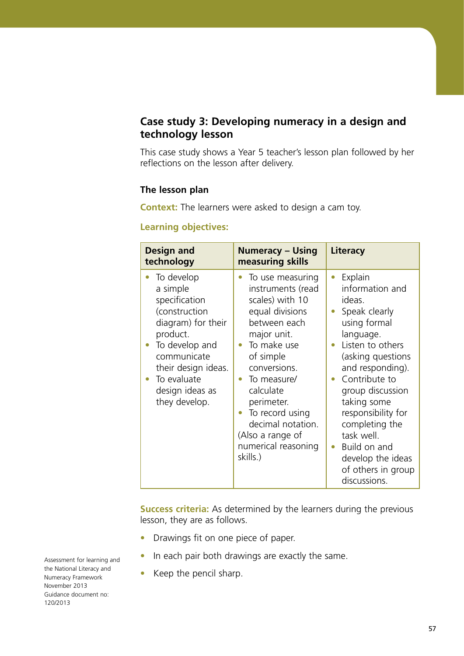# **Case study 3: Developing numeracy in a design and technology lesson**

This case study shows a Year 5 teacher's lesson plan followed by her reflections on the lesson after delivery.

## **The lesson plan**

**Context:** The learners were asked to design a cam toy.

## **Learning objectives:**

| <b>Design and</b><br>technology                                                                                                                                                                       | <b>Numeracy – Using</b><br>measuring skills                                                                                                                                                                                                                                                     | Literacy                                                                                                                                                                                                                                                                                                                                                                    |
|-------------------------------------------------------------------------------------------------------------------------------------------------------------------------------------------------------|-------------------------------------------------------------------------------------------------------------------------------------------------------------------------------------------------------------------------------------------------------------------------------------------------|-----------------------------------------------------------------------------------------------------------------------------------------------------------------------------------------------------------------------------------------------------------------------------------------------------------------------------------------------------------------------------|
| To develop<br>a simple<br>specification<br>(construction<br>diagram) for their<br>product.<br>To develop and<br>communicate<br>their design ideas.<br>To evaluate<br>design ideas as<br>they develop. | To use measuring<br>instruments (read<br>scales) with 10<br>equal divisions<br>between each<br>major unit.<br>To make use<br>of simple<br>conversions.<br>To measure/<br>calculate<br>perimeter.<br>To record using<br>decimal notation.<br>(Also a range of<br>numerical reasoning<br>skills.) | Explain<br>$\bullet$<br>information and<br>ideas.<br>Speak clearly<br>$\bullet$<br>using formal<br>language.<br>Listen to others<br>(asking questions<br>and responding).<br>Contribute to<br>group discussion<br>taking some<br>responsibility for<br>completing the<br>task well.<br>Build on and<br>$\bullet$<br>develop the ideas<br>of others in group<br>discussions. |

**Success criteria:** As determined by the learners during the previous lesson, they are as follows.

- **•**  Drawings fit on one piece of paper.
- In each pair both drawings are exactly the same.
- **•**  Keep the pencil sharp.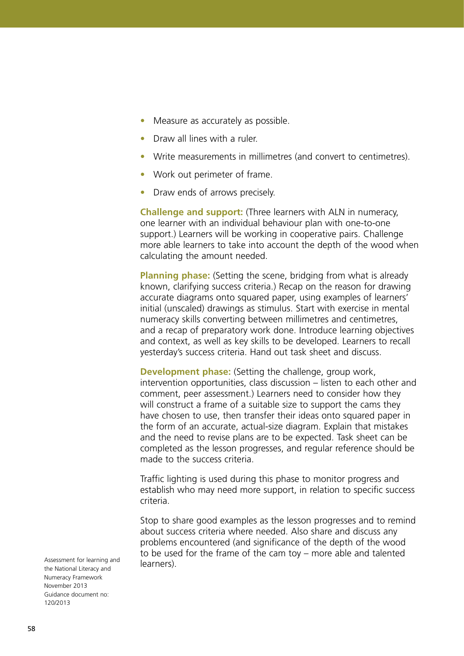- Measure as accurately as possible.
- Draw all lines with a ruler.
- **•**  Write measurements in millimetres (and convert to centimetres).
- **•**  Work out perimeter of frame.
- Draw ends of arrows precisely.

**Challenge and support:** (Three learners with ALN in numeracy, one learner with an individual behaviour plan with one-to-one support.) Learners will be working in cooperative pairs. Challenge more able learners to take into account the depth of the wood when calculating the amount needed.

**Planning phase:** (Setting the scene, bridging from what is already known, clarifying success criteria.) Recap on the reason for drawing accurate diagrams onto squared paper, using examples of learners' initial (unscaled) drawings as stimulus. Start with exercise in mental numeracy skills converting between millimetres and centimetres, and a recap of preparatory work done. Introduce learning objectives and context, as well as key skills to be developed. Learners to recall yesterday's success criteria. Hand out task sheet and discuss.

**Development phase:** (Setting the challenge, group work, intervention opportunities, class discussion – listen to each other and comment, peer assessment.) Learners need to consider how they will construct a frame of a suitable size to support the cams they have chosen to use, then transfer their ideas onto squared paper in the form of an accurate, actual-size diagram. Explain that mistakes and the need to revise plans are to be expected. Task sheet can be completed as the lesson progresses, and regular reference should be made to the success criteria.

Traffic lighting is used during this phase to monitor progress and establish who may need more support, in relation to specific success criteria.

Stop to share good examples as the lesson progresses and to remind about success criteria where needed. Also share and discuss any problems encountered (and significance of the depth of the wood to be used for the frame of the cam toy – more able and talented learners).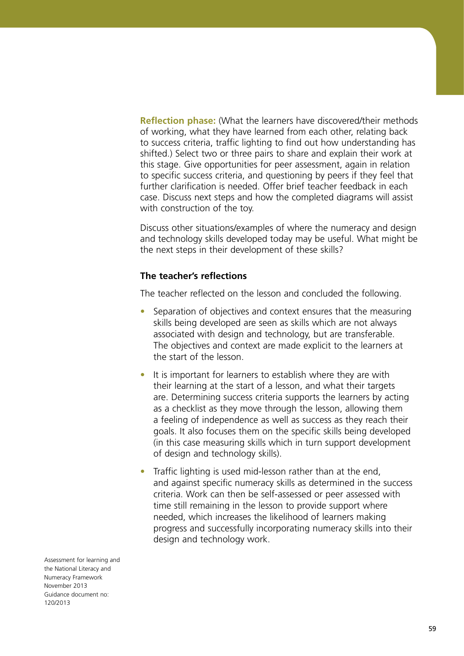**Reflection phase:** (What the learners have discovered/their methods of working, what they have learned from each other, relating back to success criteria, traffic lighting to find out how understanding has shifted.) Select two or three pairs to share and explain their work at this stage. Give opportunities for peer assessment, again in relation to specific success criteria, and questioning by peers if they feel that further clarification is needed. Offer brief teacher feedback in each case. Discuss next steps and how the completed diagrams will assist with construction of the toy.

Discuss other situations/examples of where the numeracy and design and technology skills developed today may be useful. What might be the next steps in their development of these skills?

## **The teacher's reflections**

The teacher reflected on the lesson and concluded the following.

- Separation of objectives and context ensures that the measuring skills being developed are seen as skills which are not always associated with design and technology, but are transferable. The objectives and context are made explicit to the learners at the start of the lesson.
- It is important for learners to establish where they are with their learning at the start of a lesson, and what their targets are. Determining success criteria supports the learners by acting as a checklist as they move through the lesson, allowing them a feeling of independence as well as success as they reach their goals. It also focuses them on the specific skills being developed (in this case measuring skills which in turn support development of design and technology skills).
- **•**  Traffic lighting is used mid-lesson rather than at the end, and against specific numeracy skills as determined in the success criteria. Work can then be self-assessed or peer assessed with time still remaining in the lesson to provide support where needed, which increases the likelihood of learners making progress and successfully incorporating numeracy skills into their design and technology work.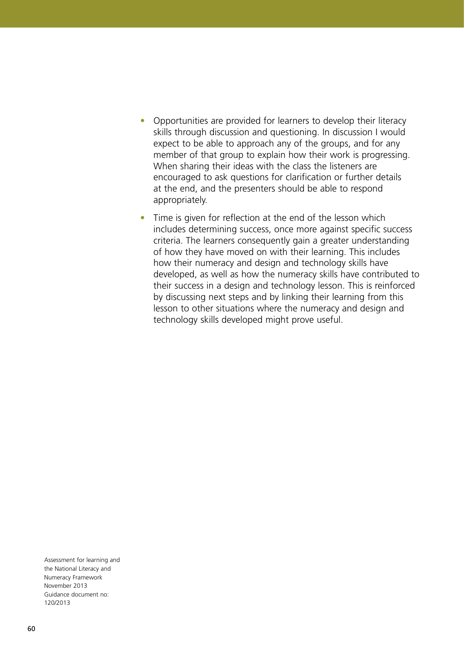- Opportunities are provided for learners to develop their literacy skills through discussion and questioning. In discussion I would expect to be able to approach any of the groups, and for any member of that group to explain how their work is progressing. When sharing their ideas with the class the listeners are encouraged to ask questions for clarification or further details at the end, and the presenters should be able to respond appropriately.
- Time is given for reflection at the end of the lesson which includes determining success, once more against specific success criteria. The learners consequently gain a greater understanding of how they have moved on with their learning. This includes how their numeracy and design and technology skills have developed, as well as how the numeracy skills have contributed to their success in a design and technology lesson. This is reinforced by discussing next steps and by linking their learning from this lesson to other situations where the numeracy and design and technology skills developed might prove useful.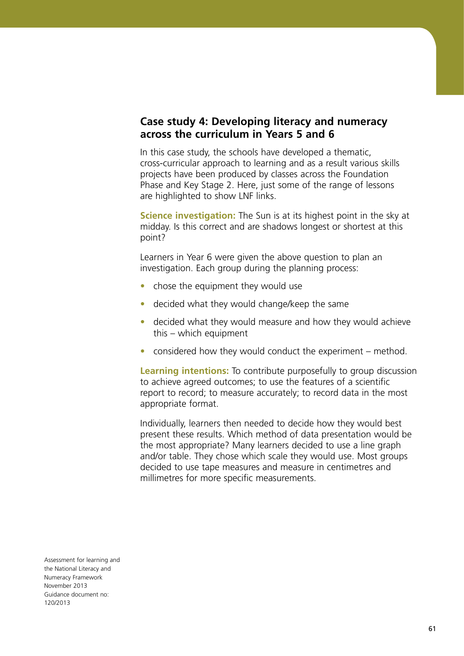# **Case study 4: Developing literacy and numeracy across the curriculum in Years 5 and 6**

In this case study, the schools have developed a thematic, cross-curricular approach to learning and as a result various skills projects have been produced by classes across the Foundation Phase and Key Stage 2. Here, just some of the range of lessons are highlighted to show LNF links.

**Science investigation:** The Sun is at its highest point in the sky at midday. Is this correct and are shadows longest or shortest at this point?

Learners in Year 6 were given the above question to plan an investigation. Each group during the planning process:

- chose the equipment they would use
- decided what they would change/keep the same
- decided what they would measure and how they would achieve this – which equipment
- considered how they would conduct the experiment method.

**Learning intentions:** To contribute purposefully to group discussion to achieve agreed outcomes; to use the features of a scientific report to record; to measure accurately; to record data in the most appropriate format.

Individually, learners then needed to decide how they would best present these results. Which method of data presentation would be the most appropriate? Many learners decided to use a line graph and/or table. They chose which scale they would use. Most groups decided to use tape measures and measure in centimetres and millimetres for more specific measurements.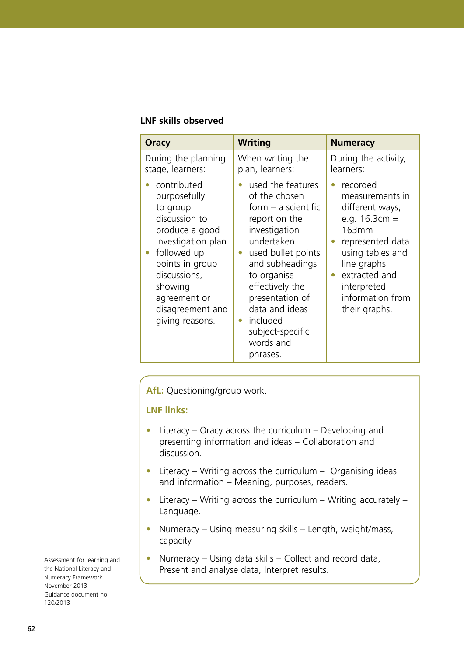#### **LNF skills observed**

| Oracy                                                                                                                                                                                                                | <b>Writing</b>                                                                                                                                                                                                                                                                                                 | <b>Numeracy</b>                                                                                                                                                                                                                  |
|----------------------------------------------------------------------------------------------------------------------------------------------------------------------------------------------------------------------|----------------------------------------------------------------------------------------------------------------------------------------------------------------------------------------------------------------------------------------------------------------------------------------------------------------|----------------------------------------------------------------------------------------------------------------------------------------------------------------------------------------------------------------------------------|
| During the planning<br>stage, learners:                                                                                                                                                                              | When writing the<br>plan, learners:                                                                                                                                                                                                                                                                            | During the activity,<br>learners:                                                                                                                                                                                                |
| contributed<br>purposefully<br>to group<br>discussion to<br>produce a good<br>investigation plan<br>followed up<br>points in group<br>discussions,<br>showing<br>agreement or<br>disagreement and<br>giving reasons. | used the features<br>of the chosen<br>form $-$ a scientific<br>report on the<br>investigation<br>undertaken<br>used bullet points<br>$\bullet$<br>and subheadings<br>to organise<br>effectively the<br>presentation of<br>data and ideas<br>included<br>$\bullet$<br>subject-specific<br>words and<br>phrases. | recorded<br>$\bullet$<br>measurements in<br>different ways,<br>e.g. $16.3cm =$<br>163mm<br>represented data<br>using tables and<br>line graphs<br>extracted and<br>$\bullet$<br>interpreted<br>information from<br>their graphs. |

**AfL:** Questioning/group work.

## **LNF links:**

- Literacy Oracy across the curriculum Developing and presenting information and ideas – Collaboration and discussion.
- Literacy Writing across the curriculum Organising ideas and information – Meaning, purposes, readers.
- Literacy Writing across the curriculum Writing accurately Language.
- **•**  Numeracy Using measuring skills Length, weight/mass, capacity.
- **•**  Numeracy Using data skills Collect and record data, Present and analyse data, Interpret results.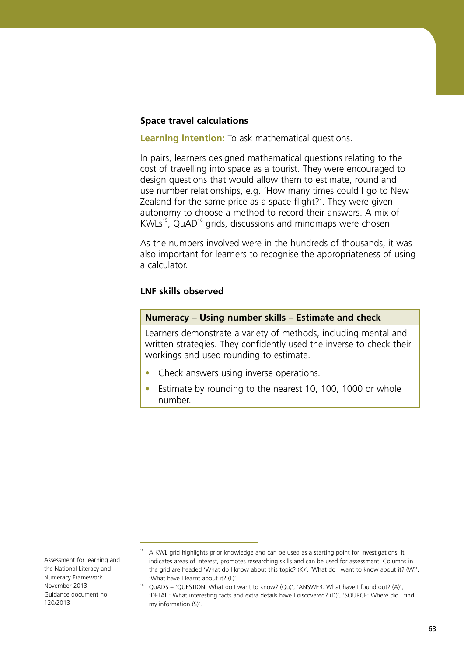#### **Space travel calculations**

**Learning intention:** To ask mathematical questions.

In pairs, learners designed mathematical questions relating to the cost of travelling into space as a tourist. They were encouraged to design questions that would allow them to estimate, round and use number relationships, e.g. 'How many times could I go to New Zealand for the same price as a space flight?'. They were given autonomy to choose a method to record their answers. A mix of  $KWLs<sup>15</sup>, QuAD<sup>16</sup> grids, discussions and mindmaps were chosen.$ 

As the numbers involved were in the hundreds of thousands, it was also important for learners to recognise the appropriateness of using a calculator.

#### **LNF skills observed**

#### **Numeracy – Using number skills – Estimate and check**

Learners demonstrate a variety of methods, including mental and written strategies. They confidently used the inverse to check their workings and used rounding to estimate.

- Check answers using inverse operations.
- Estimate by rounding to the nearest 10, 100, 1000 or whole number.

Assessment for learning and the National Literacy and Numeracy Framework November 2013 Guidance document no: 120/2013

<sup>&</sup>lt;sup>15</sup> A KWL grid highlights prior knowledge and can be used as a starting point for investigations. It indicates areas of interest, promotes researching skills and can be used for assessment. Columns in the grid are headed 'What do I know about this topic? (K)', 'What do I want to know about it? (W)', 'What have I learnt about it? (L)'.

<sup>&</sup>lt;sup>16</sup> QuADS – 'QUESTION: What do I want to know? (Qu)', 'ANSWER: What have I found out? (A)', 'DETAIL: What interesting facts and extra details have I discovered? (D)', 'SOURCE: Where did I find my information (S)'.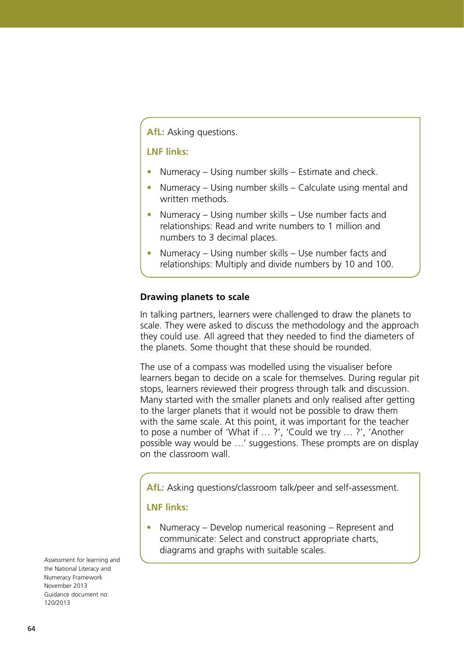## **AfL:** Asking questions.

## **LNF links:**

- Numeracy Using number skills Estimate and check.
- Numeracy Using number skills Calculate using mental and written methods.
- **•**  Numeracy Using number skills Use number facts and relationships: Read and write numbers to 1 million and numbers to 3 decimal places.
- Numeracy Using number skills Use number facts and relationships: Multiply and divide numbers by 10 and 100.

#### **Drawing planets to scale**

In talking partners, learners were challenged to draw the planets to scale. They were asked to discuss the methodology and the approach they could use. All agreed that they needed to find the diameters of the planets. Some thought that these should be rounded.

The use of a compass was modelled using the visualiser before learners began to decide on a scale for themselves. During regular pit stops, learners reviewed their progress through talk and discussion. Many started with the smaller planets and only realised after getting to the larger planets that it would not be possible to draw them with the same scale. At this point, it was important for the teacher to pose a number of 'What if … ?', 'Could we try … ?', 'Another possible way would be …' suggestions. These prompts are on display on the classroom wall.

**AfL:** Asking questions/classroom talk/peer and self-assessment.

#### **LNF links:**

**•**  Numeracy – Develop numerical reasoning – Represent and communicate: Select and construct appropriate charts, diagrams and graphs with suitable scales.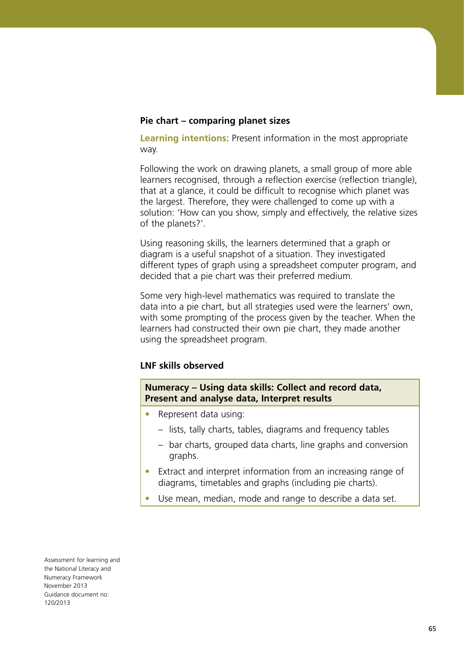#### **Pie chart – comparing planet sizes**

**Learning intentions:** Present information in the most appropriate way.

Following the work on drawing planets, a small group of more able learners recognised, through a reflection exercise (reflection triangle), that at a glance, it could be difficult to recognise which planet was the largest. Therefore, they were challenged to come up with a solution: 'How can you show, simply and effectively, the relative sizes of the planets?'.

Using reasoning skills, the learners determined that a graph or diagram is a useful snapshot of a situation. They investigated different types of graph using a spreadsheet computer program, and decided that a pie chart was their preferred medium.

Some very high-level mathematics was required to translate the data into a pie chart, but all strategies used were the learners' own, with some prompting of the process given by the teacher. When the learners had constructed their own pie chart, they made another using the spreadsheet program.

## **LNF skills observed**

**Numeracy – Using data skills: Collect and record data, Present and analyse data, Interpret results**

- **•**  Represent data using:
	- lists, tally charts, tables, diagrams and frequency tables
	- bar charts, grouped data charts, line graphs and conversion graphs.
- Extract and interpret information from an increasing range of diagrams, timetables and graphs (including pie charts).
- Use mean, median, mode and range to describe a data set.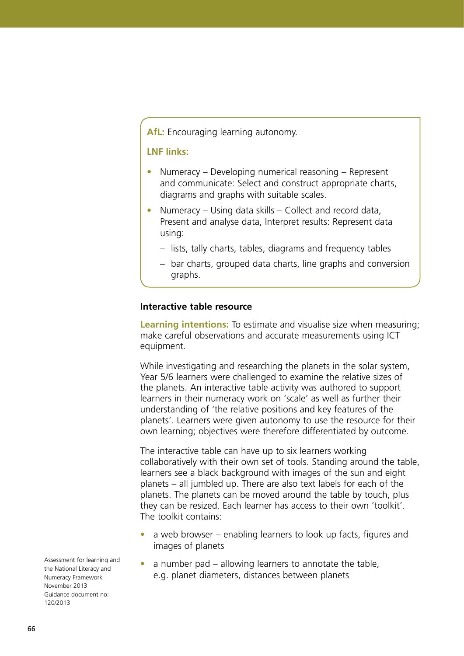## **AfL:** Encouraging learning autonomy.

## **LNF links:**

- Numeracy Developing numerical reasoning Represent and communicate: Select and construct appropriate charts, diagrams and graphs with suitable scales.
- Numeracy Using data skills Collect and record data, Present and analyse data, Interpret results: Represent data using:
	- lists, tally charts, tables, diagrams and frequency tables
	- bar charts, grouped data charts, line graphs and conversion graphs.

#### **Interactive table resource**

**Learning intentions:** To estimate and visualise size when measuring; make careful observations and accurate measurements using ICT equipment.

While investigating and researching the planets in the solar system, Year 5/6 learners were challenged to examine the relative sizes of the planets. An interactive table activity was authored to support learners in their numeracy work on 'scale' as well as further their understanding of 'the relative positions and key features of the planets'. Learners were given autonomy to use the resource for their own learning; objectives were therefore differentiated by outcome.

The interactive table can have up to six learners working collaboratively with their own set of tools. Standing around the table, learners see a black background with images of the sun and eight planets – all jumbled up. There are also text labels for each of the planets. The planets can be moved around the table by touch, plus they can be resized. Each learner has access to their own 'toolkit'. The toolkit contains:

- a web browser enabling learners to look up facts, figures and images of planets
- a number pad allowing learners to annotate the table, e.g. planet diameters, distances between planets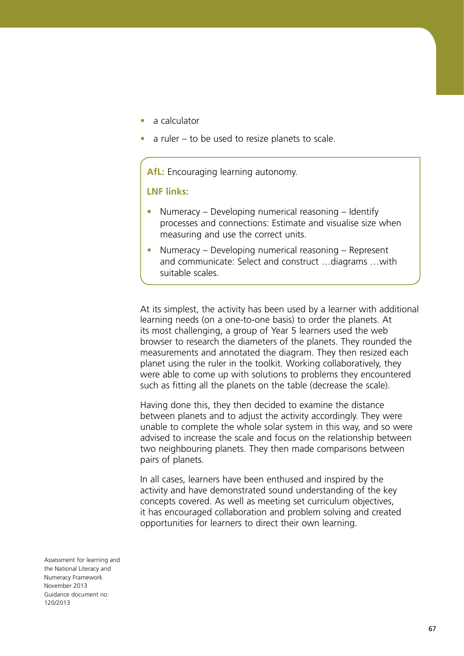- **•**  a calculator
- a ruler to be used to resize planets to scale.

**AfL:** Encouraging learning autonomy.

**LNF links:**

- **•**  Numeracy Developing numerical reasoning Identify processes and connections: Estimate and visualise size when measuring and use the correct units.
- **•**  Numeracy Developing numerical reasoning Represent and communicate: Select and construct …diagrams …with suitable scales.

At its simplest, the activity has been used by a learner with additional learning needs (on a one-to-one basis) to order the planets. At its most challenging, a group of Year 5 learners used the web browser to research the diameters of the planets. They rounded the measurements and annotated the diagram. They then resized each planet using the ruler in the toolkit. Working collaboratively, they were able to come up with solutions to problems they encountered such as fitting all the planets on the table (decrease the scale).

Having done this, they then decided to examine the distance between planets and to adjust the activity accordingly. They were unable to complete the whole solar system in this way, and so were advised to increase the scale and focus on the relationship between two neighbouring planets. They then made comparisons between pairs of planets.

In all cases, learners have been enthused and inspired by the activity and have demonstrated sound understanding of the key concepts covered. As well as meeting set curriculum objectives, it has encouraged collaboration and problem solving and created opportunities for learners to direct their own learning.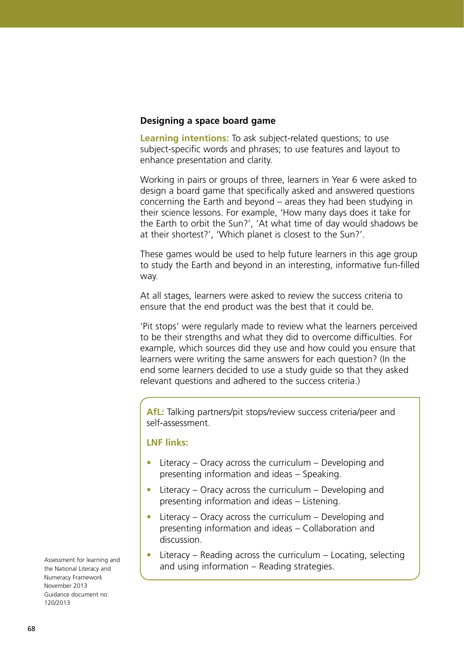#### **Designing a space board game**

**Learning intentions:** To ask subject-related questions; to use subject-specific words and phrases; to use features and layout to enhance presentation and clarity.

Working in pairs or groups of three, learners in Year 6 were asked to design a board game that specifically asked and answered questions concerning the Earth and beyond – areas they had been studying in their science lessons. For example, 'How many days does it take for the Earth to orbit the Sun?', 'At what time of day would shadows be at their shortest?', 'Which planet is closest to the Sun?'.

These games would be used to help future learners in this age group to study the Earth and beyond in an interesting, informative fun-filled way.

At all stages, learners were asked to review the success criteria to ensure that the end product was the best that it could be.

'Pit stops' were regularly made to review what the learners perceived to be their strengths and what they did to overcome difficulties. For example, which sources did they use and how could you ensure that learners were writing the same answers for each question? (In the end some learners decided to use a study guide so that they asked relevant questions and adhered to the success criteria.)

**AfL:** Talking partners/pit stops/review success criteria/peer and self-assessment.

#### **LNF links:**

- Literacy Oracy across the curriculum Developing and presenting information and ideas – Speaking.
- Literacy Oracy across the curriculum Developing and presenting information and ideas – Listening.
- Literacy Oracy across the curriculum Developing and presenting information and ideas – Collaboration and discussion.
- Literacy Reading across the curriculum Locating, selecting and using information – Reading strategies.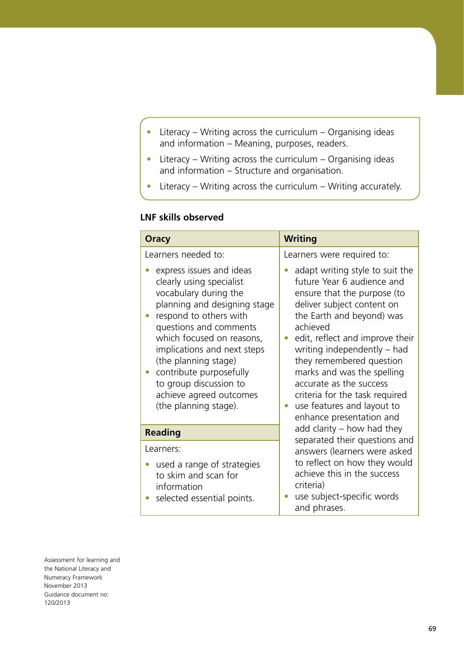- **•**  Literacy Writing across the curriculum Organising ideas and information – Meaning, purposes, readers.
- **•**  Literacy Writing across the curriculum Organising ideas and information – Structure and organisation.
- Literacy Writing across the curriculum Writing accurately.

# **LNF skills observed**

| <b>Oracy</b>                                                                                                                                                                                                                                                                                                                                                   | <b>Writing</b>                                                                                                                                                                                                                                                                                                                                                                                                         |
|----------------------------------------------------------------------------------------------------------------------------------------------------------------------------------------------------------------------------------------------------------------------------------------------------------------------------------------------------------------|------------------------------------------------------------------------------------------------------------------------------------------------------------------------------------------------------------------------------------------------------------------------------------------------------------------------------------------------------------------------------------------------------------------------|
| Learners needed to:                                                                                                                                                                                                                                                                                                                                            | Learners were required to:                                                                                                                                                                                                                                                                                                                                                                                             |
| express issues and ideas<br>clearly using specialist<br>vocabulary during the<br>planning and designing stage<br>respond to others with<br>questions and comments<br>which focused on reasons,<br>implications and next steps<br>(the planning stage)<br>contribute purposefully<br>to group discussion to<br>achieve agreed outcomes<br>(the planning stage). | adapt writing style to suit the<br>future Year 6 audience and<br>ensure that the purpose (to<br>deliver subject content on<br>the Earth and beyond) was<br>achieved<br>edit, reflect and improve their<br>writing independently – had<br>they remembered question<br>marks and was the spelling<br>accurate as the success<br>criteria for the task required<br>use features and layout to<br>enhance presentation and |
| <b>Reading</b>                                                                                                                                                                                                                                                                                                                                                 | add clarity $-$ how had they<br>separated their questions and                                                                                                                                                                                                                                                                                                                                                          |
| Learners:                                                                                                                                                                                                                                                                                                                                                      | answers (learners were asked                                                                                                                                                                                                                                                                                                                                                                                           |
| used a range of strategies<br>to skim and scan for<br>information<br>• selected essential points.                                                                                                                                                                                                                                                              | to reflect on how they would<br>achieve this in the success<br>criteria)<br>use subject-specific words                                                                                                                                                                                                                                                                                                                 |
|                                                                                                                                                                                                                                                                                                                                                                | and phrases.                                                                                                                                                                                                                                                                                                                                                                                                           |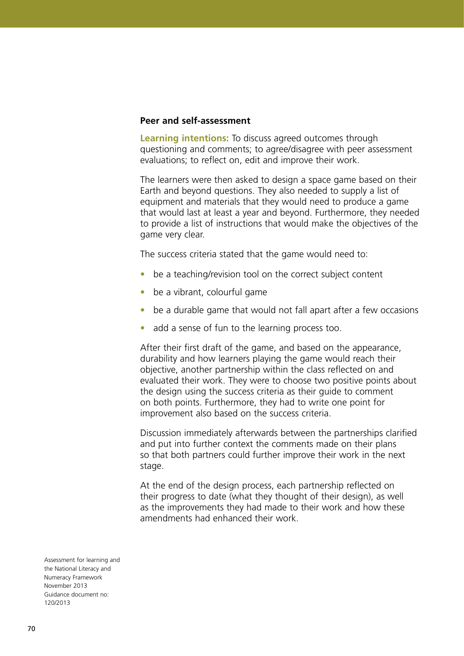#### **Peer and self-assessment**

**Learning intentions:** To discuss agreed outcomes through questioning and comments; to agree/disagree with peer assessment evaluations; to reflect on, edit and improve their work.

The learners were then asked to design a space game based on their Earth and beyond questions. They also needed to supply a list of equipment and materials that they would need to produce a game that would last at least a year and beyond. Furthermore, they needed to provide a list of instructions that would make the objectives of the game very clear.

The success criteria stated that the game would need to:

- be a teaching/revision tool on the correct subject content
- be a vibrant, colourful game
- be a durable game that would not fall apart after a few occasions
- add a sense of fun to the learning process too.

After their first draft of the game, and based on the appearance, durability and how learners playing the game would reach their objective, another partnership within the class reflected on and evaluated their work. They were to choose two positive points about the design using the success criteria as their guide to comment on both points. Furthermore, they had to write one point for improvement also based on the success criteria.

Discussion immediately afterwards between the partnerships clarified and put into further context the comments made on their plans so that both partners could further improve their work in the next stage.

At the end of the design process, each partnership reflected on their progress to date (what they thought of their design), as well as the improvements they had made to their work and how these amendments had enhanced their work.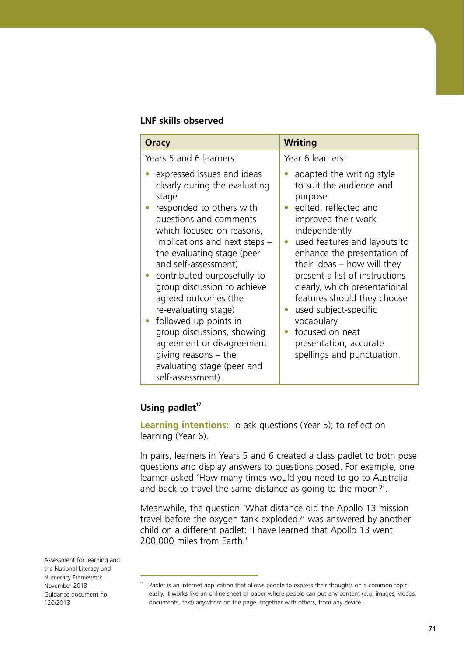#### **LNF skills observed**

| Oracy                                                                                                                                                                                                                                                                                                                                                                                                                                                                                                                         | <b>Writing</b>                                                                                                                                                                                                                                                                                                                                                                                                                                        |
|-------------------------------------------------------------------------------------------------------------------------------------------------------------------------------------------------------------------------------------------------------------------------------------------------------------------------------------------------------------------------------------------------------------------------------------------------------------------------------------------------------------------------------|-------------------------------------------------------------------------------------------------------------------------------------------------------------------------------------------------------------------------------------------------------------------------------------------------------------------------------------------------------------------------------------------------------------------------------------------------------|
| Years 5 and 6 learners:                                                                                                                                                                                                                                                                                                                                                                                                                                                                                                       | Year 6 learners:                                                                                                                                                                                                                                                                                                                                                                                                                                      |
| expressed issues and ideas<br>clearly during the evaluating<br>stage<br>responded to others with<br>questions and comments<br>which focused on reasons,<br>implications and next steps -<br>the evaluating stage (peer<br>and self-assessment)<br>contributed purposefully to<br>group discussion to achieve<br>agreed outcomes (the<br>re-evaluating stage)<br>followed up points in<br>group discussions, showing<br>agreement or disagreement<br>giving reasons $-$ the<br>evaluating stage (peer and<br>self-assessment). | adapted the writing style<br>to suit the audience and<br>purpose<br>edited, reflected and<br>improved their work<br>independently<br>used features and layouts to<br>enhance the presentation of<br>their ideas $-$ how will they<br>present a list of instructions<br>clearly, which presentational<br>features should they choose<br>used subject-specific<br>vocabulary<br>focused on neat<br>presentation, accurate<br>spellings and punctuation. |

# **Using padlet<sup>17</sup>**

**Learning intentions:** To ask questions (Year 5); to reflect on learning (Year 6).

In pairs, learners in Years 5 and 6 created a class padlet to both pose questions and display answers to questions posed. For example, one learner asked 'How many times would you need to go to Australia and back to travel the same distance as going to the moon?'.

Meanwhile, the question 'What distance did the Apollo 13 mission travel before the oxygen tank exploded?' was answered by another child on a different padlet: 'I have learned that Apollo 13 went 200,000 miles from Earth.'

 $17$  Padlet is an internet application that allows people to express their thoughts on a common topic easily. It works like an online sheet of paper where people can put any content (e.g. images, videos, documents, text) anywhere on the page, together with others, from any device.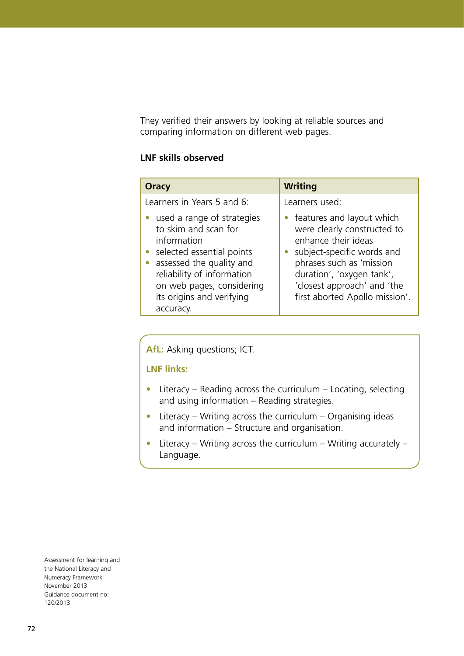They verified their answers by looking at reliable sources and comparing information on different web pages.

## **LNF skills observed**

| Oracy                                                                                                                                                                                                                                 | <b>Writing</b>                                                                                                                                                                                                                          |
|---------------------------------------------------------------------------------------------------------------------------------------------------------------------------------------------------------------------------------------|-----------------------------------------------------------------------------------------------------------------------------------------------------------------------------------------------------------------------------------------|
| Learners in Years 5 and 6:                                                                                                                                                                                                            | Learners used:                                                                                                                                                                                                                          |
| • used a range of strategies<br>to skim and scan for<br>information<br>• selected essential points<br>• assessed the quality and<br>reliability of information<br>on web pages, considering<br>its origins and verifying<br>accuracy. | features and layout which<br>were clearly constructed to<br>enhance their ideas<br>subject-specific words and<br>phrases such as 'mission<br>duration', 'oxygen tank',<br>'closest approach' and 'the<br>first aborted Apollo mission'. |

**AfL:** Asking questions; ICT.

**LNF links:**

- Literacy Reading across the curriculum Locating, selecting and using information – Reading strategies.
- Literacy Writing across the curriculum Organising ideas and information – Structure and organisation.
- Literacy Writing across the curriculum Writing accurately Language.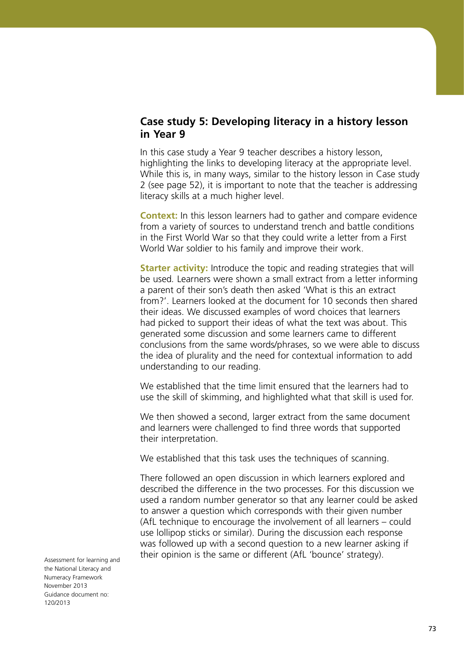# **Case study 5: Developing literacy in a history lesson in Year 9**

In this case study a Year 9 teacher describes a history lesson, highlighting the links to developing literacy at the appropriate level. While this is, in many ways, similar to the history lesson in Case study 2 (see page 52), it is important to note that the teacher is addressing literacy skills at a much higher level.

**Context:** In this lesson learners had to gather and compare evidence from a variety of sources to understand trench and battle conditions in the First World War so that they could write a letter from a First World War soldier to his family and improve their work.

**Starter activity:** Introduce the topic and reading strategies that will be used*.* Learners were shown a small extract from a letter informing a parent of their son's death then asked 'What is this an extract from?'. Learners looked at the document for 10 seconds then shared their ideas. We discussed examples of word choices that learners had picked to support their ideas of what the text was about. This generated some discussion and some learners came to different conclusions from the same words/phrases, so we were able to discuss the idea of plurality and the need for contextual information to add understanding to our reading.

We established that the time limit ensured that the learners had to use the skill of skimming, and highlighted what that skill is used for.

We then showed a second, larger extract from the same document and learners were challenged to find three words that supported their interpretation.

We established that this task uses the techniques of scanning.

There followed an open discussion in which learners explored and described the difference in the two processes. For this discussion we used a random number generator so that any learner could be asked to answer a question which corresponds with their given number (AfL technique to encourage the involvement of all learners – could use lollipop sticks or similar). During the discussion each response was followed up with a second question to a new learner asking if their opinion is the same or different (AfL 'bounce' strategy).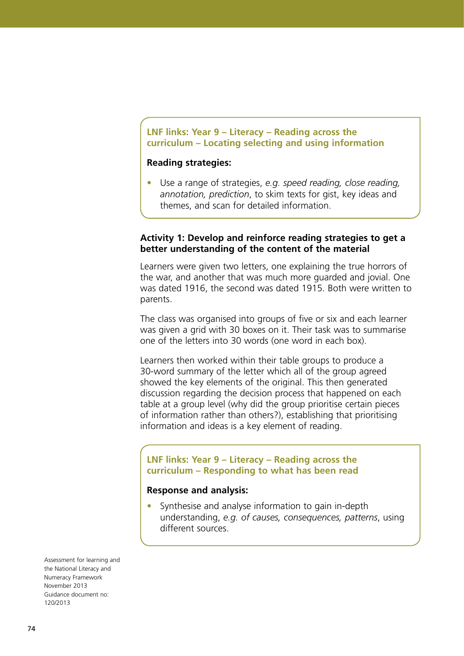# **LNF links: Year 9 – Literacy – Reading across the curriculum – Locating selecting and using information**

#### **Reading strategies:**

Use a range of strategies, *e.g. speed reading*, *close reading*, *annotation, prediction*, to skim texts for gist, key ideas and themes, and scan for detailed information.

## **Activity 1: Develop and reinforce reading strategies to get a better understanding of the content of the material**

Learners were given two letters, one explaining the true horrors of the war, and another that was much more guarded and jovial. One was dated 1916, the second was dated 1915. Both were written to parents.

The class was organised into groups of five or six and each learner was given a grid with 30 boxes on it. Their task was to summarise one of the letters into 30 words (one word in each box).

Learners then worked within their table groups to produce a 30-word summary of the letter which all of the group agreed showed the key elements of the original. This then generated discussion regarding the decision process that happened on each table at a group level (why did the group prioritise certain pieces of information rather than others?), establishing that prioritising information and ideas is a key element of reading.

# **LNF links: Year 9 – Literacy – Reading across the curriculum – Responding to what has been read**

#### **Response and analysis:**

Synthesise and analyse information to gain in-depth understanding, *e.g. of causes, consequences, patterns*, using different sources.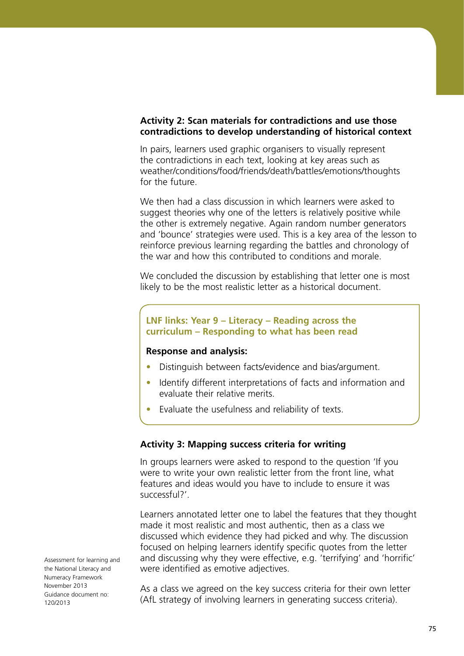# **Activity 2: Scan materials for contradictions and use those contradictions to develop understanding of historical context**

In pairs, learners used graphic organisers to visually represent the contradictions in each text, looking at key areas such as weather/conditions/food/friends/death/battles/emotions/thoughts for the future.

We then had a class discussion in which learners were asked to suggest theories why one of the letters is relatively positive while the other is extremely negative. Again random number generators and 'bounce' strategies were used. This is a key area of the lesson to reinforce previous learning regarding the battles and chronology of the war and how this contributed to conditions and morale.

We concluded the discussion by establishing that letter one is most likely to be the most realistic letter as a historical document.

# **LNF links: Year 9 – Literacy – Reading across the curriculum – Responding to what has been read**

#### **Response and analysis:**

- **•**  Distinguish between facts/evidence and bias/argument.
- Identify different interpretations of facts and information and evaluate their relative merits.
- Evaluate the usefulness and reliability of texts.

## **Activity 3: Mapping success criteria for writing**

In groups learners were asked to respond to the question 'If you were to write your own realistic letter from the front line, what features and ideas would you have to include to ensure it was successful?'.

Learners annotated letter one to label the features that they thought made it most realistic and most authentic, then as a class we discussed which evidence they had picked and why. The discussion focused on helping learners identify specific quotes from the letter and discussing why they were effective, e.g. 'terrifying' and 'horrific' were identified as emotive adjectives.

As a class we agreed on the key success criteria for their own letter (AfL strategy of involving learners in generating success criteria).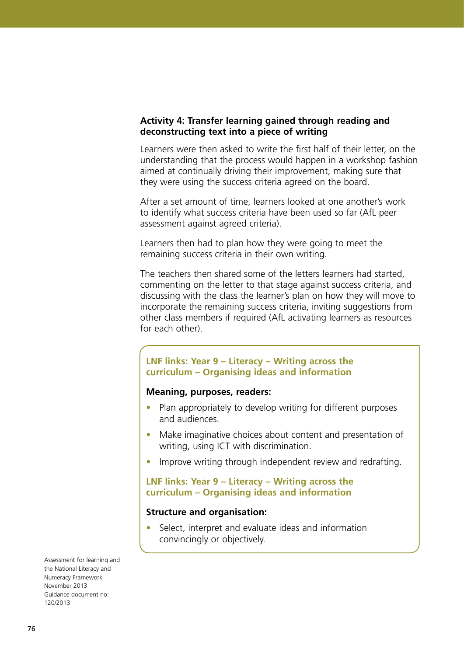## **Activity 4: Transfer learning gained through reading and deconstructing text into a piece of writing**

Learners were then asked to write the first half of their letter, on the understanding that the process would happen in a workshop fashion aimed at continually driving their improvement, making sure that they were using the success criteria agreed on the board.

After a set amount of time, learners looked at one another's work to identify what success criteria have been used so far (AfL peer assessment against agreed criteria).

Learners then had to plan how they were going to meet the remaining success criteria in their own writing.

The teachers then shared some of the letters learners had started, commenting on the letter to that stage against success criteria, and discussing with the class the learner's plan on how they will move to incorporate the remaining success criteria, inviting suggestions from other class members if required (AfL activating learners as resources for each other).

# **LNF links: Year 9 – Literacy – Writing across the curriculum – Organising ideas and information**

# **Meaning, purposes, readers:**

- Plan appropriately to develop writing for different purposes and audiences.
- Make imaginative choices about content and presentation of writing, using ICT with discrimination.
- Improve writing through independent review and redrafting.

#### **LNF links: Year 9 – Literacy – Writing across the curriculum – Organising ideas and information**

#### **Structure and organisation:**

Select, interpret and evaluate ideas and information convincingly or objectively.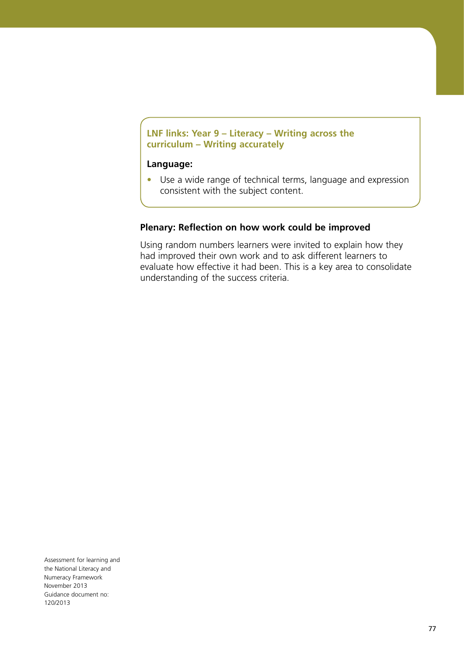# **LNF links: Year 9 – Literacy – Writing across the curriculum – Writing accurately**

#### **Language:**

**•**  Use a wide range of technical terms, language and expression consistent with the subject content.

#### **Plenary: Reflection on how work could be improved**

Using random numbers learners were invited to explain how they had improved their own work and to ask different learners to evaluate how effective it had been. This is a key area to consolidate understanding of the success criteria.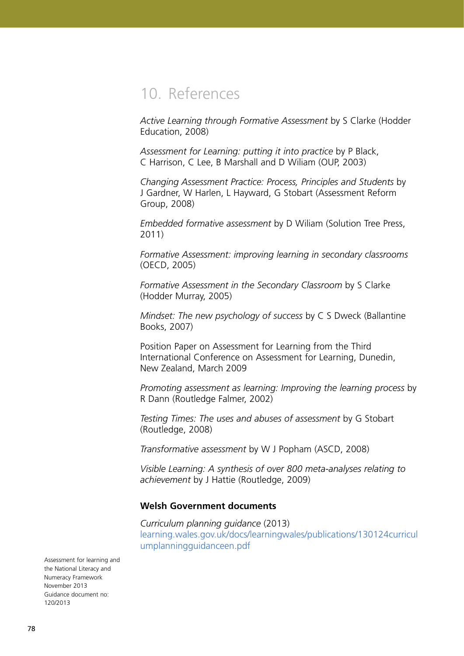# 10. References

*Active Learning through Formative Assessment* by S Clarke (Hodder Education, 2008)

*Assessment for Learning: putting it into practice* by P Black, C Harrison, C Lee, B Marshall and D Wiliam (OUP, 2003)

*Changing Assessment Practice: Process, Principles and Students* by J Gardner, W Harlen, L Hayward, G Stobart (Assessment Reform Group, 2008)

*Embedded formative assessment* by D Wiliam (Solution Tree Press, 2011)

*Formative Assessment: improving learning in secondary classrooms* (OECD, 2005)

*Formative Assessment in the Secondary Classroom* by S Clarke (Hodder Murray, 2005)

*Mindset: The new psychology of success* by C S Dweck (Ballantine Books, 2007)

Position Paper on Assessment for Learning from the Third International Conference on Assessment for Learning, Dunedin, New Zealand, March 2009

*Promoting assessment as learning: Improving the learning process* by R Dann (Routledge Falmer, 2002)

*Testing Times: The uses and abuses of assessment* by G Stobart (Routledge, 2008)

*Transformative assessment* by W J Popham (ASCD, 2008)

*Visible Learning: A synthesis of over 800 meta-analyses relating to achievement* by J Hattie (Routledge, 2009)

#### **Welsh Government documents**

*Curriculum planning guidance* (2013) [learning.wales.gov.uk/docs/learningwales/publications/130124curricul](http://learning.wales.gov.uk/docs/learningwales/publications/130124curriculumplanningguidanceen.pdf) [umplanningguidanceen.pdf](http://learning.wales.gov.uk/docs/learningwales/publications/130124curriculumplanningguidanceen.pdf)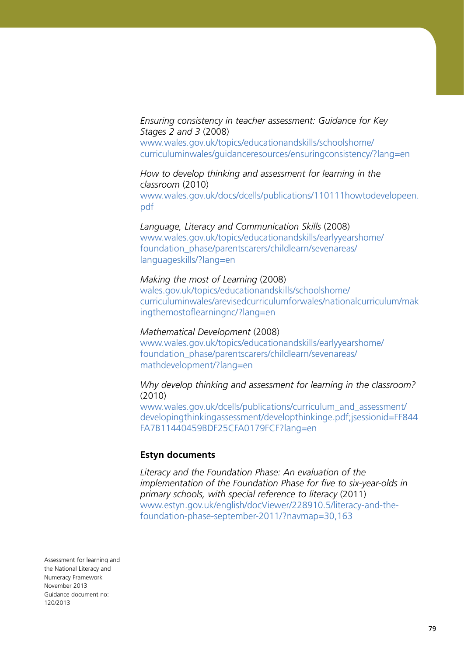*Ensuring consistency in teacher assessment: Guidance for Key Stages 2 and 3* (2008) [www.wales.gov.uk/topics/educationandskills/schoolshome/](http://www.wales.gov.uk/topics/educationandskills/schoolshome/curriculuminwales/guidanceresources/ensuringconsistency/?lang=en) [curriculuminwales/guidanceresources/ensuringconsistency/?lang=en](http://www.wales.gov.uk/topics/educationandskills/schoolshome/curriculuminwales/guidanceresources/ensuringconsistency/?lang=en)

*How to develop thinking and assessment for learning in the classroom* (2010) [www.wales.gov.uk/docs/dcells/publications/110111howtodevelopeen.](http://www.wales.gov.uk/docs/dcells/publications/110111howtodevelopeen.pdf) [pdf](http://www.wales.gov.uk/docs/dcells/publications/110111howtodevelopeen.pdf)

*Language, Literacy and Communication Skills* (2008) [www.wales.gov.uk/topics/educationandskills/earlyyearshome/](http://www.wales.gov.uk/topics/educationandskills/earlyyearshome/foundation_phase/parentscarers/childlearn/sevenareas/languageskills/?lang=en) [foundation\\_phase/parentscarers/childlearn/sevenareas/](http://www.wales.gov.uk/topics/educationandskills/earlyyearshome/foundation_phase/parentscarers/childlearn/sevenareas/languageskills/?lang=en) [languageskills/?lang=en](http://www.wales.gov.uk/topics/educationandskills/earlyyearshome/foundation_phase/parentscarers/childlearn/sevenareas/languageskills/?lang=en)

#### *Making the most of Learning* (2008)

[wales.gov.uk/topics/educationandskills/schoolshome/](http://wales.gov.uk/topics/educationandskills/schoolshome/curriculuminwales/arevisedcurriculumforwales/nationalcurriculum/makingthemostoflearningnc/?lang=en) [curriculuminwales/arevisedcurriculumforwales/nationalcurriculum/mak](http://wales.gov.uk/topics/educationandskills/schoolshome/curriculuminwales/arevisedcurriculumforwales/nationalcurriculum/makingthemostoflearningnc/?lang=en) [ingthemostoflearningnc/?lang=en](http://wales.gov.uk/topics/educationandskills/schoolshome/curriculuminwales/arevisedcurriculumforwales/nationalcurriculum/makingthemostoflearningnc/?lang=en)

#### *Mathematical Development* (2008)

[www.wales.gov.uk/topics/educationandskills/earlyyearshome/](http://www.wales.gov.uk/topics/educationandskills/earlyyearshome/foundation_phase/parentscarers/childlearn/sevenareas/mathdevelopment/?lang=en) [foundation\\_phase/parentscarers/childlearn/sevenareas/](http://www.wales.gov.uk/topics/educationandskills/earlyyearshome/foundation_phase/parentscarers/childlearn/sevenareas/mathdevelopment/?lang=en) [mathdevelopment/?lang=en](http://www.wales.gov.uk/topics/educationandskills/earlyyearshome/foundation_phase/parentscarers/childlearn/sevenareas/mathdevelopment/?lang=en)

*Why develop thinking and assessment for learning in the classroom?* (2010)

[www.wales.gov.uk/dcells/publications/curriculum\\_and\\_assessment/](http://www.wales.gov.uk/dcells/publications/curriculum_and_assessment/developingthinkingassessment/developthinkinge.pdf;jsessionid=FF844FA7B11440459BDF25CFA0179FCF?lang=en) [developingthinkingassessment/developthinkinge.pdf;jsessionid=FF844](http://www.wales.gov.uk/dcells/publications/curriculum_and_assessment/developingthinkingassessment/developthinkinge.pdf;jsessionid=FF844FA7B11440459BDF25CFA0179FCF?lang=en) [FA7B11440459BDF25CFA0179FCF?lang=en](http://www.wales.gov.uk/dcells/publications/curriculum_and_assessment/developingthinkingassessment/developthinkinge.pdf;jsessionid=FF844FA7B11440459BDF25CFA0179FCF?lang=en)

#### **Estyn documents**

*Literacy and the Foundation Phase: An evaluation of the implementation of the Foundation Phase for five to six-year-olds in primary schools, with special reference to literacy* (2011) [www.estyn.gov.uk/english/docViewer/228910.5/literacy-and-the](http://www.estyn.gov.uk/english/docViewer/228910.5/literacy-and-the-foundation-phase-september-2011/?navmap=30,163)[foundation-phase-september-2011/?navmap=30,163](http://www.estyn.gov.uk/english/docViewer/228910.5/literacy-and-the-foundation-phase-september-2011/?navmap=30,163)